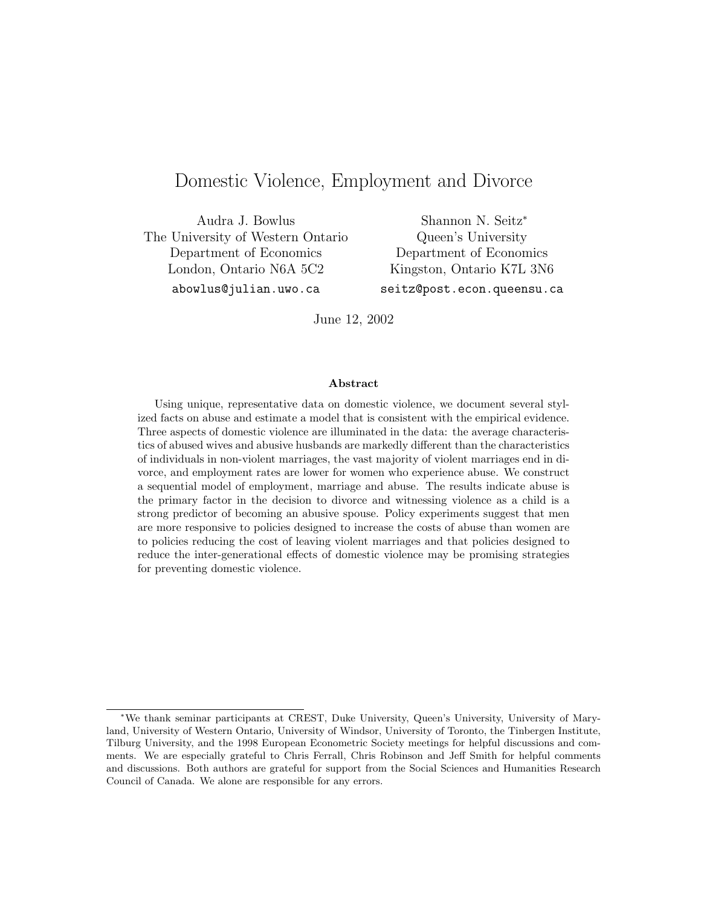# Domestic Violence, Employment and Divorce

Audra J. Bowlus The University of Western Ontario Department of Economics London, Ontario N6A 5C2

Shannon N. Seitz<sup>∗</sup> Queen's University Department of Economics Kingston, Ontario K7L 3N6

abowlus@julian.uwo.ca

seitz@post.econ.queensu.ca

June 12, 2002

#### Abstract

Using unique, representative data on domestic violence, we document several stylized facts on abuse and estimate a model that is consistent with the empirical evidence. Three aspects of domestic violence are illuminated in the data: the average characteristics of abused wives and abusive husbands are markedly different than the characteristics of individuals in non-violent marriages, the vast majority of violent marriages end in divorce, and employment rates are lower for women who experience abuse. We construct a sequential model of employment, marriage and abuse. The results indicate abuse is the primary factor in the decision to divorce and witnessing violence as a child is a strong predictor of becoming an abusive spouse. Policy experiments suggest that men are more responsive to policies designed to increase the costs of abuse than women are to policies reducing the cost of leaving violent marriages and that policies designed to reduce the inter-generational effects of domestic violence may be promising strategies for preventing domestic violence.

<sup>∗</sup>We thank seminar participants at CREST, Duke University, Queen's University, University of Maryland, University of Western Ontario, University of Windsor, University of Toronto, the Tinbergen Institute, Tilburg University, and the 1998 European Econometric Society meetings for helpful discussions and comments. We are especially grateful to Chris Ferrall, Chris Robinson and Jeff Smith for helpful comments and discussions. Both authors are grateful for support from the Social Sciences and Humanities Research Council of Canada. We alone are responsible for any errors.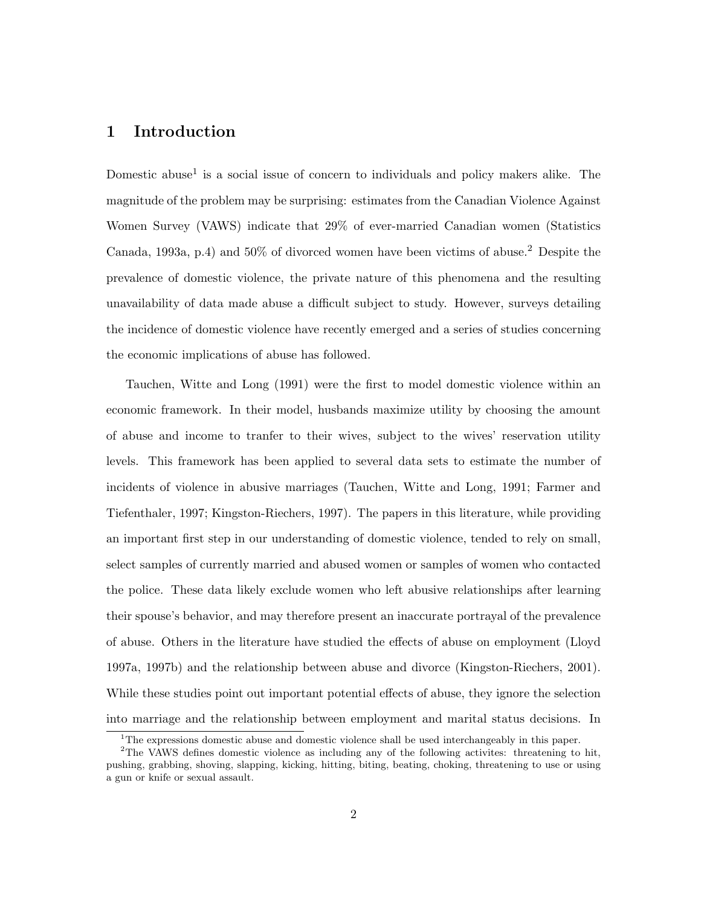# 1 Introduction

Domestic abuse<sup>1</sup> is a social issue of concern to individuals and policy makers alike. The magnitude of the problem may be surprising: estimates from the Canadian Violence Against Women Survey (VAWS) indicate that 29% of ever-married Canadian women (Statistics Canada, 1993a, p.4) and 50% of divorced women have been victims of abuse.<sup>2</sup> Despite the prevalence of domestic violence, the private nature of this phenomena and the resulting unavailability of data made abuse a difficult subject to study. However, surveys detailing the incidence of domestic violence have recently emerged and a series of studies concerning the economic implications of abuse has followed.

Tauchen, Witte and Long (1991) were the first to model domestic violence within an economic framework. In their model, husbands maximize utility by choosing the amount of abuse and income to tranfer to their wives, subject to the wives' reservation utility levels. This framework has been applied to several data sets to estimate the number of incidents of violence in abusive marriages (Tauchen, Witte and Long, 1991; Farmer and Tiefenthaler, 1997; Kingston-Riechers, 1997). The papers in this literature, while providing an important first step in our understanding of domestic violence, tended to rely on small, select samples of currently married and abused women or samples of women who contacted the police. These data likely exclude women who left abusive relationships after learning their spouse's behavior, and may therefore present an inaccurate portrayal of the prevalence of abuse. Others in the literature have studied the effects of abuse on employment (Lloyd 1997a, 1997b) and the relationship between abuse and divorce (Kingston-Riechers, 2001). While these studies point out important potential effects of abuse, they ignore the selection into marriage and the relationship between employment and marital status decisions. In

<sup>&</sup>lt;sup>1</sup>The expressions domestic abuse and domestic violence shall be used interchangeably in this paper.

<sup>&</sup>lt;sup>2</sup>The VAWS defines domestic violence as including any of the following activites: threatening to hit, pushing, grabbing, shoving, slapping, kicking, hitting, biting, beating, choking, threatening to use or using a gun or knife or sexual assault.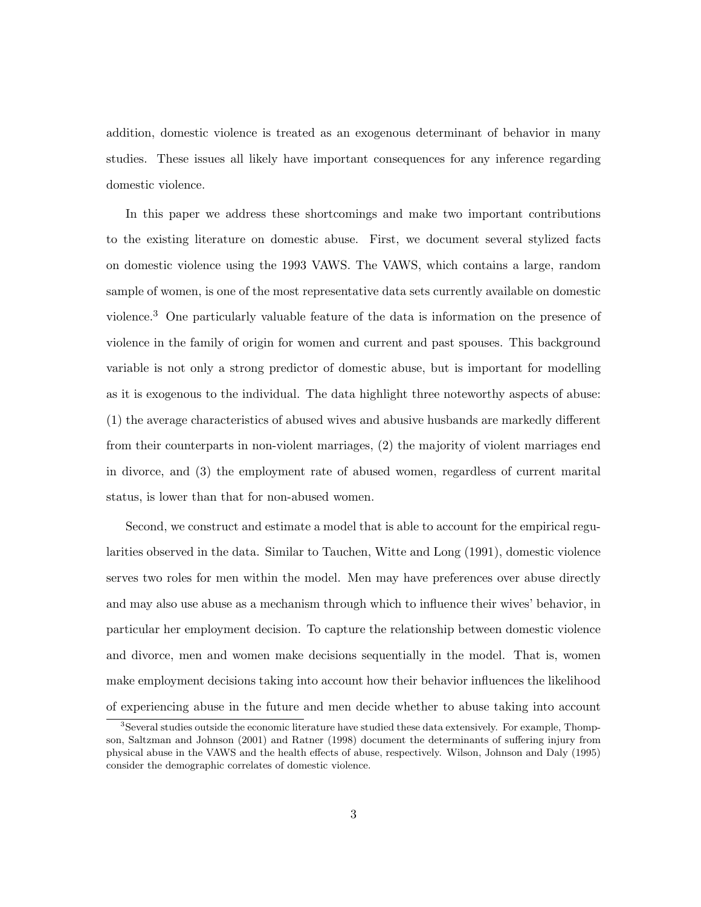addition, domestic violence is treated as an exogenous determinant of behavior in many studies. These issues all likely have important consequences for any inference regarding domestic violence.

In this paper we address these shortcomings and make two important contributions to the existing literature on domestic abuse. First, we document several stylized facts on domestic violence using the 1993 VAWS. The VAWS, which contains a large, random sample of women, is one of the most representative data sets currently available on domestic violence.<sup>3</sup> One particularly valuable feature of the data is information on the presence of violence in the family of origin for women and current and past spouses. This background variable is not only a strong predictor of domestic abuse, but is important for modelling as it is exogenous to the individual. The data highlight three noteworthy aspects of abuse: (1) the average characteristics of abused wives and abusive husbands are markedly different from their counterparts in non-violent marriages, (2) the majority of violent marriages end in divorce, and (3) the employment rate of abused women, regardless of current marital status, is lower than that for non-abused women.

Second, we construct and estimate a model that is able to account for the empirical regularities observed in the data. Similar to Tauchen, Witte and Long (1991), domestic violence serves two roles for men within the model. Men may have preferences over abuse directly and may also use abuse as a mechanism through which to influence their wives' behavior, in particular her employment decision. To capture the relationship between domestic violence and divorce, men and women make decisions sequentially in the model. That is, women make employment decisions taking into account how their behavior influences the likelihood of experiencing abuse in the future and men decide whether to abuse taking into account

<sup>3</sup>Several studies outside the economic literature have studied these data extensively. For example, Thompson, Saltzman and Johnson (2001) and Ratner (1998) document the determinants of suffering injury from physical abuse in the VAWS and the health effects of abuse, respectively. Wilson, Johnson and Daly (1995) consider the demographic correlates of domestic violence.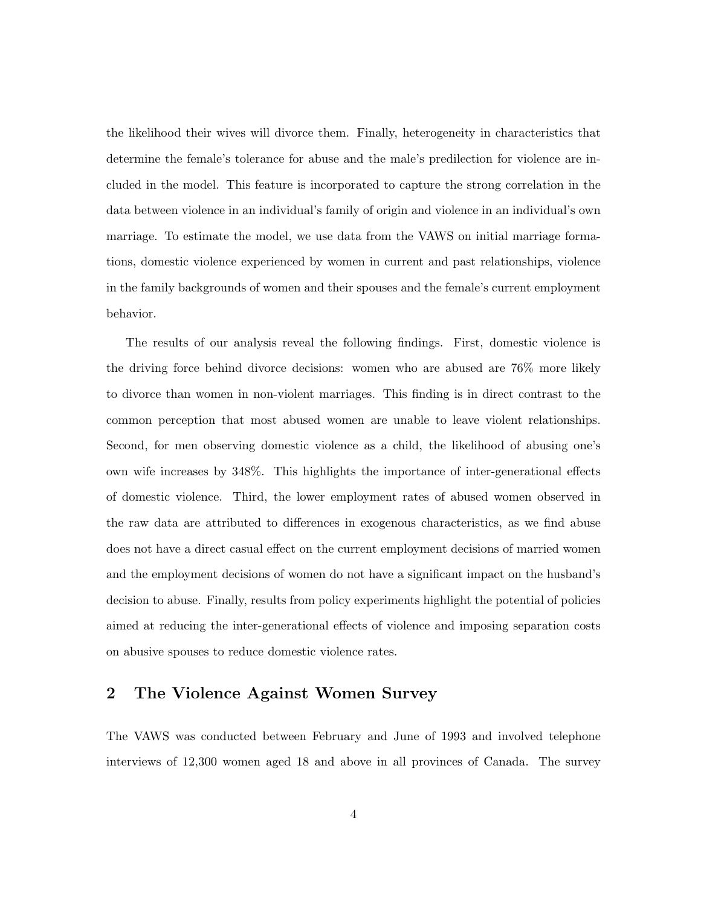the likelihood their wives will divorce them. Finally, heterogeneity in characteristics that determine the female's tolerance for abuse and the male's predilection for violence are included in the model. This feature is incorporated to capture the strong correlation in the data between violence in an individual's family of origin and violence in an individual's own marriage. To estimate the model, we use data from the VAWS on initial marriage formations, domestic violence experienced by women in current and past relationships, violence in the family backgrounds of women and their spouses and the female's current employment behavior.

The results of our analysis reveal the following findings. First, domestic violence is the driving force behind divorce decisions: women who are abused are 76% more likely to divorce than women in non-violent marriages. This finding is in direct contrast to the common perception that most abused women are unable to leave violent relationships. Second, for men observing domestic violence as a child, the likelihood of abusing one's own wife increases by 348%. This highlights the importance of inter-generational effects of domestic violence. Third, the lower employment rates of abused women observed in the raw data are attributed to differences in exogenous characteristics, as we find abuse does not have a direct casual effect on the current employment decisions of married women and the employment decisions of women do not have a significant impact on the husband's decision to abuse. Finally, results from policy experiments highlight the potential of policies aimed at reducing the inter-generational effects of violence and imposing separation costs on abusive spouses to reduce domestic violence rates.

# 2 The Violence Against Women Survey

The VAWS was conducted between February and June of 1993 and involved telephone interviews of 12,300 women aged 18 and above in all provinces of Canada. The survey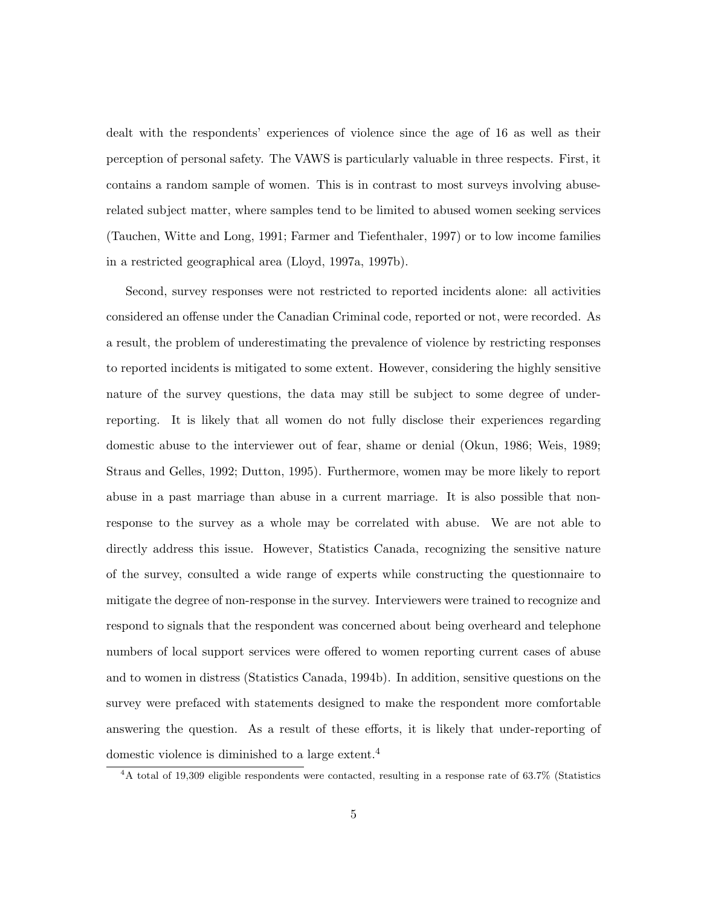dealt with the respondents' experiences of violence since the age of 16 as well as their perception of personal safety. The VAWS is particularly valuable in three respects. First, it contains a random sample of women. This is in contrast to most surveys involving abuserelated subject matter, where samples tend to be limited to abused women seeking services (Tauchen, Witte and Long, 1991; Farmer and Tiefenthaler, 1997) or to low income families in a restricted geographical area (Lloyd, 1997a, 1997b).

Second, survey responses were not restricted to reported incidents alone: all activities considered an offense under the Canadian Criminal code, reported or not, were recorded. As a result, the problem of underestimating the prevalence of violence by restricting responses to reported incidents is mitigated to some extent. However, considering the highly sensitive nature of the survey questions, the data may still be subject to some degree of underreporting. It is likely that all women do not fully disclose their experiences regarding domestic abuse to the interviewer out of fear, shame or denial (Okun, 1986; Weis, 1989; Straus and Gelles, 1992; Dutton, 1995). Furthermore, women may be more likely to report abuse in a past marriage than abuse in a current marriage. It is also possible that nonresponse to the survey as a whole may be correlated with abuse. We are not able to directly address this issue. However, Statistics Canada, recognizing the sensitive nature of the survey, consulted a wide range of experts while constructing the questionnaire to mitigate the degree of non-response in the survey. Interviewers were trained to recognize and respond to signals that the respondent was concerned about being overheard and telephone numbers of local support services were offered to women reporting current cases of abuse and to women in distress (Statistics Canada, 1994b). In addition, sensitive questions on the survey were prefaced with statements designed to make the respondent more comfortable answering the question. As a result of these efforts, it is likely that under-reporting of domestic violence is diminished to a large extent.<sup>4</sup>

<sup>4</sup>A total of 19,309 eligible respondents were contacted, resulting in a response rate of 63.7% (Statistics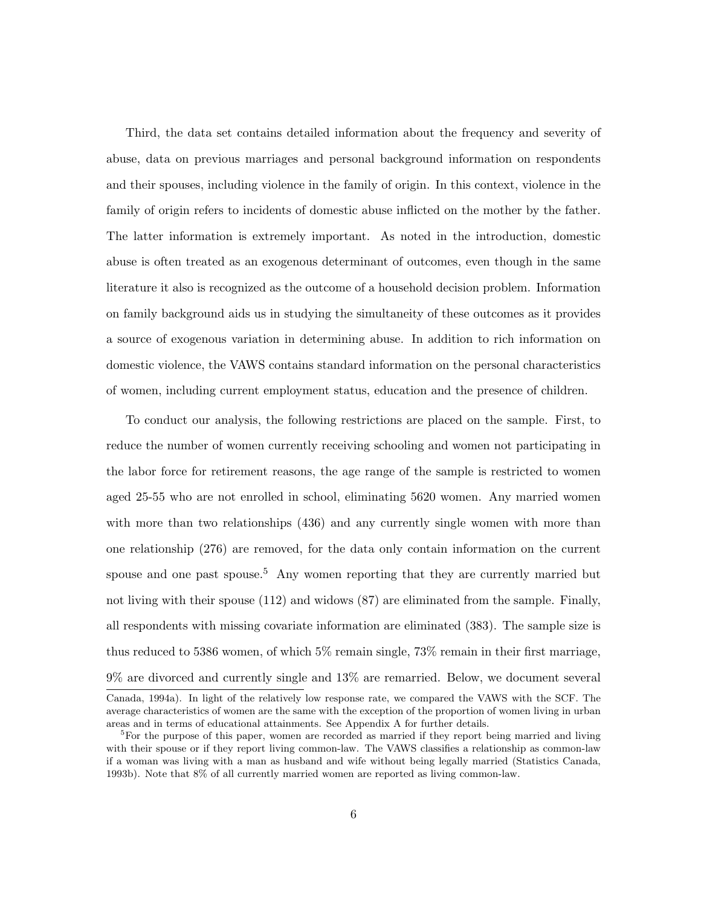Third, the data set contains detailed information about the frequency and severity of abuse, data on previous marriages and personal background information on respondents and their spouses, including violence in the family of origin. In this context, violence in the family of origin refers to incidents of domestic abuse inflicted on the mother by the father. The latter information is extremely important. As noted in the introduction, domestic abuse is often treated as an exogenous determinant of outcomes, even though in the same literature it also is recognized as the outcome of a household decision problem. Information on family background aids us in studying the simultaneity of these outcomes as it provides a source of exogenous variation in determining abuse. In addition to rich information on domestic violence, the VAWS contains standard information on the personal characteristics of women, including current employment status, education and the presence of children.

To conduct our analysis, the following restrictions are placed on the sample. First, to reduce the number of women currently receiving schooling and women not participating in the labor force for retirement reasons, the age range of the sample is restricted to women aged 25-55 who are not enrolled in school, eliminating 5620 women. Any married women with more than two relationships  $(436)$  and any currently single women with more than one relationship (276) are removed, for the data only contain information on the current spouse and one past spouse.<sup>5</sup> Any women reporting that they are currently married but not living with their spouse (112) and widows (87) are eliminated from the sample. Finally, all respondents with missing covariate information are eliminated (383). The sample size is thus reduced to 5386 women, of which 5% remain single, 73% remain in their first marriage, 9% are divorced and currently single and 13% are remarried. Below, we document several Canada, 1994a). In light of the relatively low response rate, we compared the VAWS with the SCF. The

average characteristics of women are the same with the exception of the proportion of women living in urban areas and in terms of educational attainments. See Appendix A for further details.

<sup>&</sup>lt;sup>5</sup>For the purpose of this paper, women are recorded as married if they report being married and living with their spouse or if they report living common-law. The VAWS classifies a relationship as common-law if a woman was living with a man as husband and wife without being legally married (Statistics Canada, 1993b). Note that 8% of all currently married women are reported as living common-law.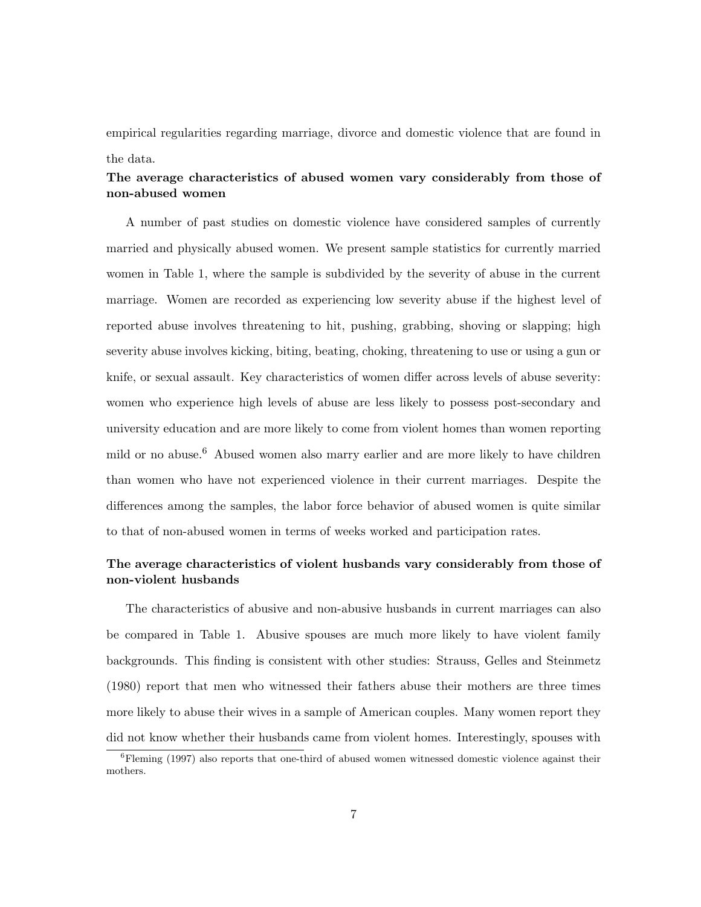empirical regularities regarding marriage, divorce and domestic violence that are found in the data.

## The average characteristics of abused women vary considerably from those of non-abused women

A number of past studies on domestic violence have considered samples of currently married and physically abused women. We present sample statistics for currently married women in Table 1, where the sample is subdivided by the severity of abuse in the current marriage. Women are recorded as experiencing low severity abuse if the highest level of reported abuse involves threatening to hit, pushing, grabbing, shoving or slapping; high severity abuse involves kicking, biting, beating, choking, threatening to use or using a gun or knife, or sexual assault. Key characteristics of women differ across levels of abuse severity: women who experience high levels of abuse are less likely to possess post-secondary and university education and are more likely to come from violent homes than women reporting mild or no abuse.<sup>6</sup> Abused women also marry earlier and are more likely to have children than women who have not experienced violence in their current marriages. Despite the differences among the samples, the labor force behavior of abused women is quite similar to that of non-abused women in terms of weeks worked and participation rates.

## The average characteristics of violent husbands vary considerably from those of non-violent husbands

The characteristics of abusive and non-abusive husbands in current marriages can also be compared in Table 1. Abusive spouses are much more likely to have violent family backgrounds. This finding is consistent with other studies: Strauss, Gelles and Steinmetz (1980) report that men who witnessed their fathers abuse their mothers are three times more likely to abuse their wives in a sample of American couples. Many women report they did not know whether their husbands came from violent homes. Interestingly, spouses with

 ${}^{6}$ Fleming (1997) also reports that one-third of abused women witnessed domestic violence against their mothers.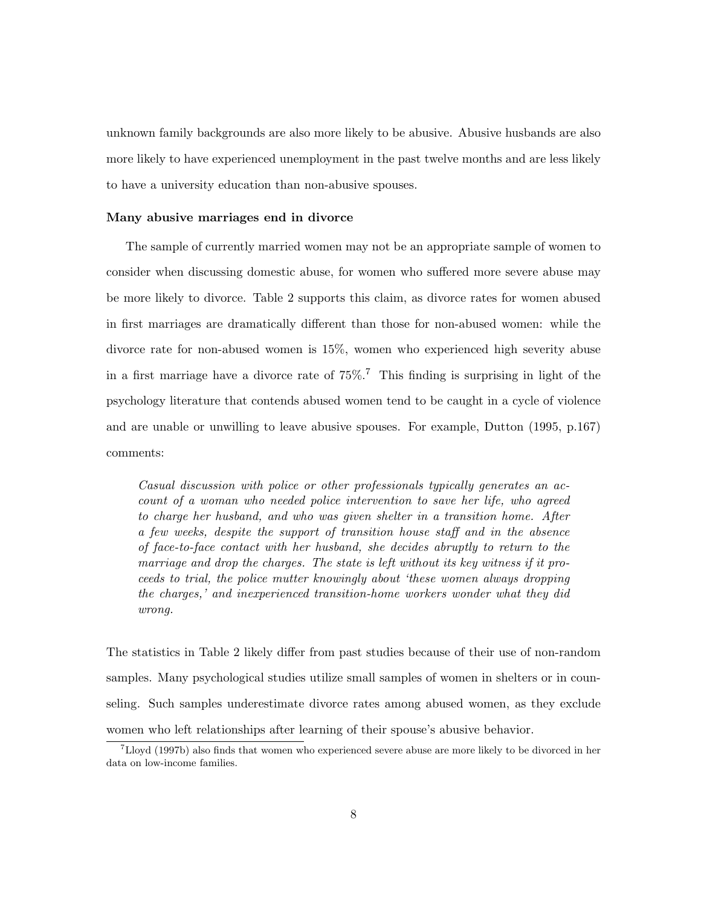unknown family backgrounds are also more likely to be abusive. Abusive husbands are also more likely to have experienced unemployment in the past twelve months and are less likely to have a university education than non-abusive spouses.

### Many abusive marriages end in divorce

The sample of currently married women may not be an appropriate sample of women to consider when discussing domestic abuse, for women who suffered more severe abuse may be more likely to divorce. Table 2 supports this claim, as divorce rates for women abused in first marriages are dramatically different than those for non-abused women: while the divorce rate for non-abused women is 15%, women who experienced high severity abuse in a first marriage have a divorce rate of  $75\%$ .<sup>7</sup> This finding is surprising in light of the psychology literature that contends abused women tend to be caught in a cycle of violence and are unable or unwilling to leave abusive spouses. For example, Dutton (1995, p.167) comments:

Casual discussion with police or other professionals typically generates an account of a woman who needed police intervention to save her life, who agreed to charge her husband, and who was given shelter in a transition home. After a few weeks, despite the support of transition house staff and in the absence of face-to-face contact with her husband, she decides abruptly to return to the marriage and drop the charges. The state is left without its key witness if it proceeds to trial, the police mutter knowingly about 'these women always dropping the charges,' and inexperienced transition-home workers wonder what they did wrong.

The statistics in Table 2 likely differ from past studies because of their use of non-random samples. Many psychological studies utilize small samples of women in shelters or in counseling. Such samples underestimate divorce rates among abused women, as they exclude women who left relationships after learning of their spouse's abusive behavior.

 $7$ Lloyd (1997b) also finds that women who experienced severe abuse are more likely to be divorced in her data on low-income families.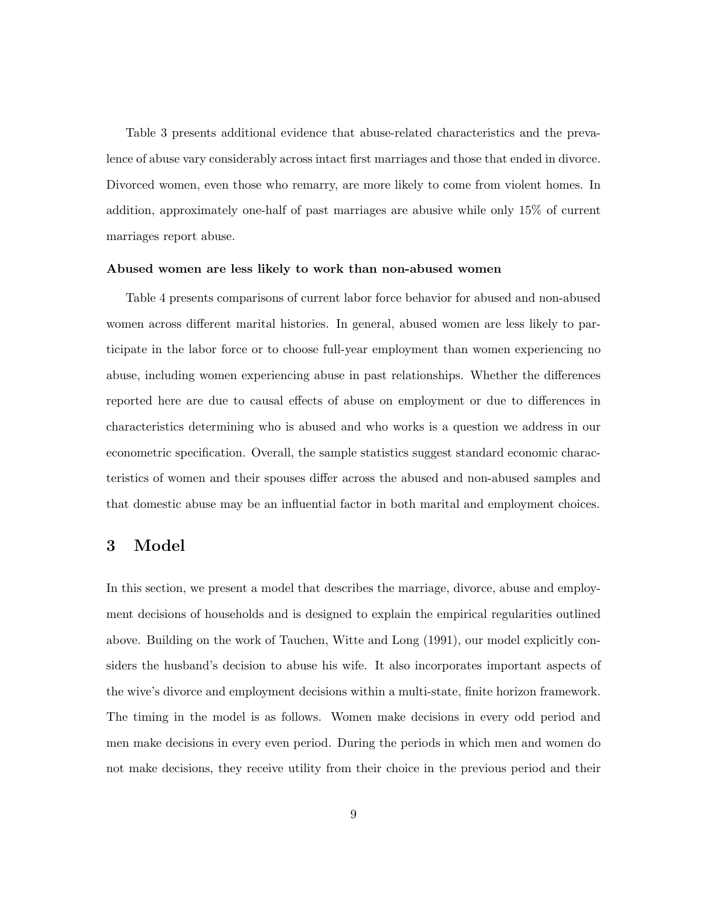Table 3 presents additional evidence that abuse-related characteristics and the prevalence of abuse vary considerably across intact first marriages and those that ended in divorce. Divorced women, even those who remarry, are more likely to come from violent homes. In addition, approximately one-half of past marriages are abusive while only 15% of current marriages report abuse.

#### Abused women are less likely to work than non-abused women

Table 4 presents comparisons of current labor force behavior for abused and non-abused women across different marital histories. In general, abused women are less likely to participate in the labor force or to choose full-year employment than women experiencing no abuse, including women experiencing abuse in past relationships. Whether the differences reported here are due to causal effects of abuse on employment or due to differences in characteristics determining who is abused and who works is a question we address in our econometric specification. Overall, the sample statistics suggest standard economic characteristics of women and their spouses differ across the abused and non-abused samples and that domestic abuse may be an influential factor in both marital and employment choices.

## 3 Model

In this section, we present a model that describes the marriage, divorce, abuse and employment decisions of households and is designed to explain the empirical regularities outlined above. Building on the work of Tauchen, Witte and Long (1991), our model explicitly considers the husband's decision to abuse his wife. It also incorporates important aspects of the wive's divorce and employment decisions within a multi-state, finite horizon framework. The timing in the model is as follows. Women make decisions in every odd period and men make decisions in every even period. During the periods in which men and women do not make decisions, they receive utility from their choice in the previous period and their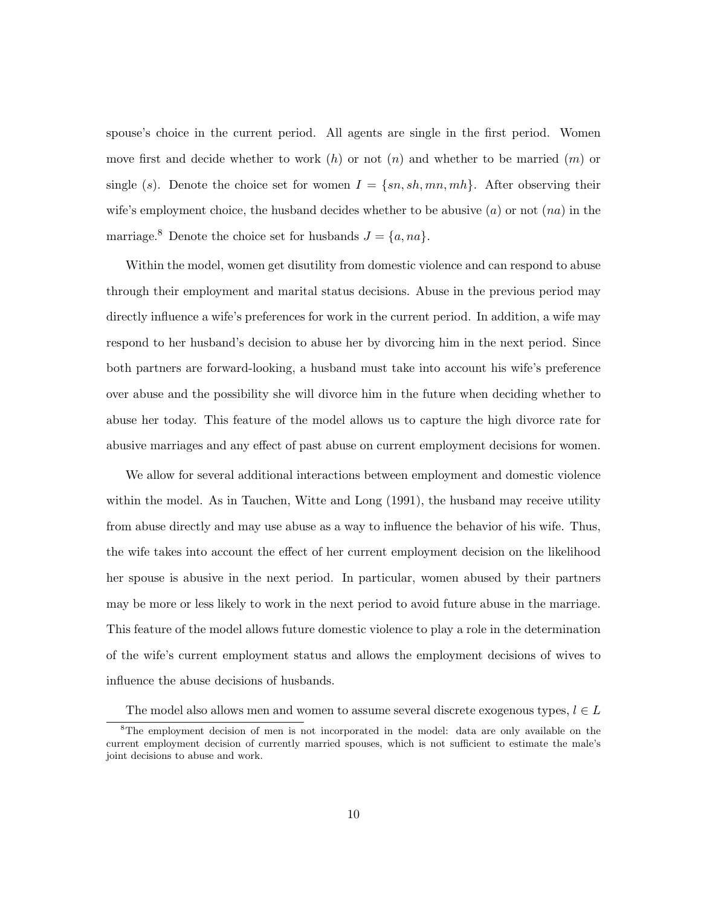spouse's choice in the current period. All agents are single in the first period. Women move first and decide whether to work  $(h)$  or not  $(n)$  and whether to be married  $(m)$  or single (s). Denote the choice set for women  $I = \{sn, sh, mn, mh\}$ . After observing their wife's employment choice, the husband decides whether to be abusive  $(a)$  or not  $(na)$  in the marriage.<sup>8</sup> Denote the choice set for husbands  $J = \{a, na\}.$ 

Within the model, women get disutility from domestic violence and can respond to abuse through their employment and marital status decisions. Abuse in the previous period may directly influence a wife's preferences for work in the current period. In addition, a wife may respond to her husband's decision to abuse her by divorcing him in the next period. Since both partners are forward-looking, a husband must take into account his wife's preference over abuse and the possibility she will divorce him in the future when deciding whether to abuse her today. This feature of the model allows us to capture the high divorce rate for abusive marriages and any effect of past abuse on current employment decisions for women.

We allow for several additional interactions between employment and domestic violence within the model. As in Tauchen, Witte and Long (1991), the husband may receive utility from abuse directly and may use abuse as a way to influence the behavior of his wife. Thus, the wife takes into account the effect of her current employment decision on the likelihood her spouse is abusive in the next period. In particular, women abused by their partners may be more or less likely to work in the next period to avoid future abuse in the marriage. This feature of the model allows future domestic violence to play a role in the determination of the wife's current employment status and allows the employment decisions of wives to influence the abuse decisions of husbands.

The model also allows men and women to assume several discrete exogenous types,  $l \in L$ 

<sup>&</sup>lt;sup>8</sup>The employment decision of men is not incorporated in the model: data are only available on the current employment decision of currently married spouses, which is not sufficient to estimate the male's joint decisions to abuse and work.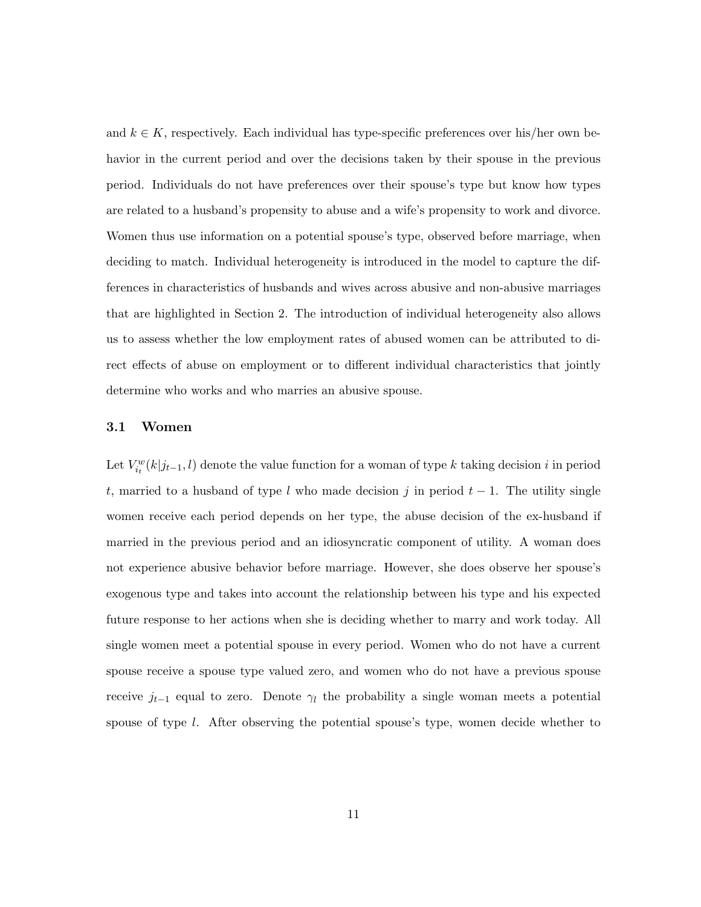and  $k \in K$ , respectively. Each individual has type-specific preferences over his/her own behavior in the current period and over the decisions taken by their spouse in the previous period. Individuals do not have preferences over their spouse's type but know how types are related to a husband's propensity to abuse and a wife's propensity to work and divorce. Women thus use information on a potential spouse's type, observed before marriage, when deciding to match. Individual heterogeneity is introduced in the model to capture the differences in characteristics of husbands and wives across abusive and non-abusive marriages that are highlighted in Section 2. The introduction of individual heterogeneity also allows us to assess whether the low employment rates of abused women can be attributed to direct effects of abuse on employment or to different individual characteristics that jointly determine who works and who marries an abusive spouse.

### 3.1 Women

Let  $V_{i}^w(k|j_{t-1}, l)$  denote the value function for a woman of type k taking decision i in period t, married to a husband of type l who made decision j in period  $t - 1$ . The utility single women receive each period depends on her type, the abuse decision of the ex-husband if married in the previous period and an idiosyncratic component of utility. A woman does not experience abusive behavior before marriage. However, she does observe her spouse's exogenous type and takes into account the relationship between his type and his expected future response to her actions when she is deciding whether to marry and work today. All single women meet a potential spouse in every period. Women who do not have a current spouse receive a spouse type valued zero, and women who do not have a previous spouse receive  $j_{t-1}$  equal to zero. Denote  $\gamma_l$  the probability a single woman meets a potential spouse of type l. After observing the potential spouse's type, women decide whether to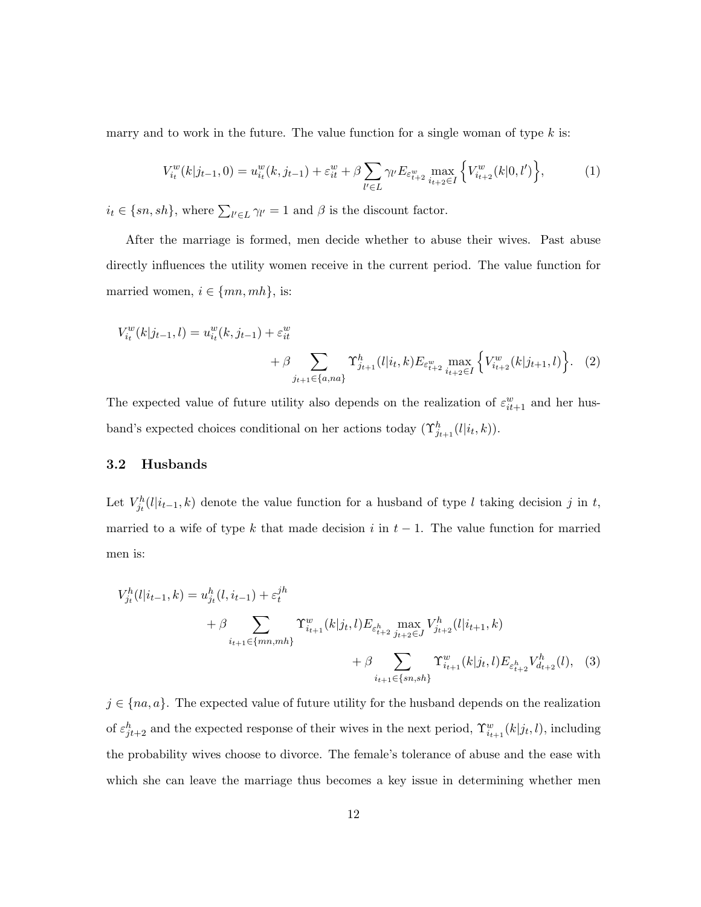marry and to work in the future. The value function for a single woman of type  $k$  is:

$$
V_{i_t}^w(k|j_{t-1},0) = u_{i_t}^w(k,j_{t-1}) + \varepsilon_{it}^w + \beta \sum_{l' \in L} \gamma_{l'} E_{\varepsilon_{t+2}^w} \max_{i_{t+2} \in I} \left\{ V_{i_{t+2}}^w(k|0,l') \right\},\tag{1}
$$

 $i_t \in \{sn, sh\}$ , where  $\sum_{l' \in L} \gamma_{l'} = 1$  and  $\beta$  is the discount factor.

After the marriage is formed, men decide whether to abuse their wives. Past abuse directly influences the utility women receive in the current period. The value function for married women,  $i \in \{mn, mh\}$ , is:

$$
V_{i_t}^w(k|j_{t-1}, l) = u_{i_t}^w(k, j_{t-1}) + \varepsilon_{it}^w
$$
  
+  $\beta \sum_{j_{t+1} \in \{a, na\}} \Upsilon_{j_{t+1}}^h(l|i_t, k) E_{\varepsilon_{t+2}^w \max_{i_{t+2} \in I} \left\{ V_{i_{t+2}}^w(k|j_{t+1}, l) \right\}.$  (2)

The expected value of future utility also depends on the realization of  $\varepsilon_{it+1}^w$  and her husband's expected choices conditional on her actions today  $(\Upsilon_{j_{t+1}}^h(l|i_t,k)).$ 

### 3.2 Husbands

Let  $V_{j_t}^h(l|i_{t-1}, k)$  denote the value function for a husband of type l taking decision j in t, married to a wife of type k that made decision i in  $t-1$ . The value function for married men is:

$$
V_{j_t}^h(l|i_{t-1},k) = u_{j_t}^h(l,i_{t-1}) + \varepsilon_t^{jh}
$$
  
+  $\beta \sum_{i_{t+1} \in \{mn,mh\}} \Upsilon_{i_{t+1}}^w(k|j_t,l) E_{\varepsilon_{t+2}} \max_{j_{t+2} \in J} V_{j_{t+2}}^h(l|i_{t+1},k)$   
+  $\beta \sum_{i_{t+1} \in \{sn,sh\}} \Upsilon_{i_{t+1}}^w(k|j_t,l) E_{\varepsilon_{t+2}} V_{d_{t+2}}^h(l),$  (3)

 $j \in \{na, a\}$ . The expected value of future utility for the husband depends on the realization of  $\varepsilon_{jt+2}^h$  and the expected response of their wives in the next period,  $\Upsilon_{i_{t+1}}^w(k|j_t,l)$ , including the probability wives choose to divorce. The female's tolerance of abuse and the ease with which she can leave the marriage thus becomes a key issue in determining whether men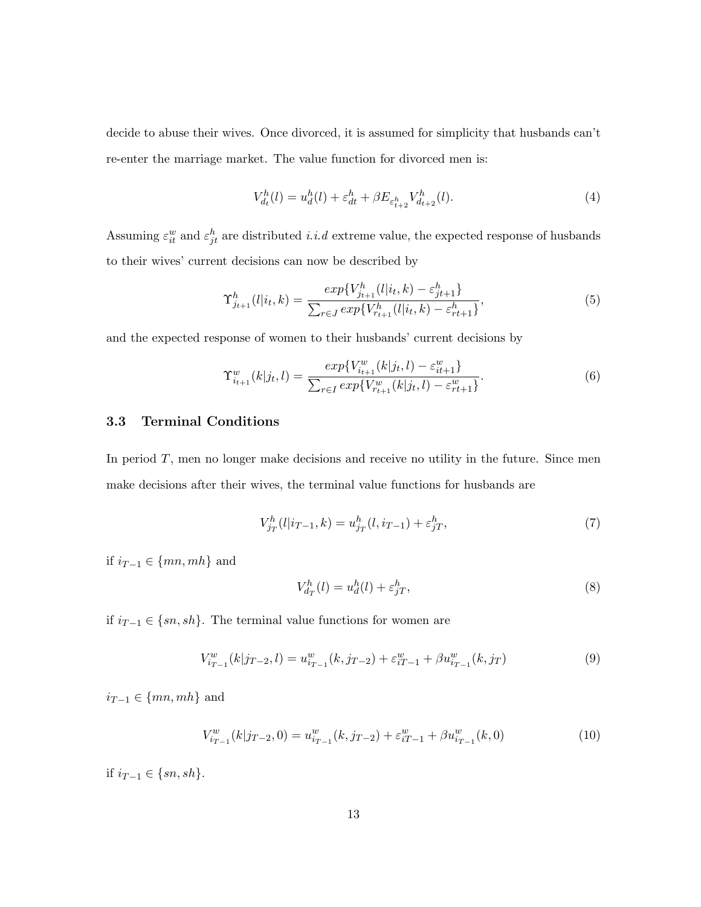decide to abuse their wives. Once divorced, it is assumed for simplicity that husbands can't re-enter the marriage market. The value function for divorced men is:

$$
V_{d_t}^h(l) = u_d^h(l) + \varepsilon_{dt}^h + \beta E_{\varepsilon_{t+2}^h} V_{d_{t+2}}^h(l). \tag{4}
$$

Assuming  $\varepsilon_{it}^w$  and  $\varepsilon_{jt}^h$  are distributed *i.i.d* extreme value, the expected response of husbands to their wives' current decisions can now be described by

$$
\Upsilon_{j_{t+1}}^h(l|i_t,k) = \frac{\exp\{V_{j_{t+1}}^h(l|i_t,k) - \varepsilon_{j_{t+1}}^h\}}{\sum_{r \in J} \exp\{V_{r_{t+1}}^h(l|i_t,k) - \varepsilon_{r_{t+1}}^h\}},\tag{5}
$$

and the expected response of women to their husbands' current decisions by

$$
\Upsilon_{i_{t+1}}^w(k|j_t, l) = \frac{\exp\{V_{i_{t+1}}^w(k|j_t, l) - \varepsilon_{i_{t+1}}^w\}}{\sum_{r \in I} \exp\{V_{r_{t+1}}^w(k|j_t, l) - \varepsilon_{r_{t+1}}^w\}}.
$$
(6)

## 3.3 Terminal Conditions

In period  $T$ , men no longer make decisions and receive no utility in the future. Since men make decisions after their wives, the terminal value functions for husbands are

$$
V_{j_T}^h(l|i_{T-1},k) = u_{j_T}^h(l,i_{T-1}) + \varepsilon_{jT}^h,
$$
\n(7)

if  $i_{T-1} \in \{mn, mh\}$  and

$$
V_{d_T}^h(l) = u_d^h(l) + \varepsilon_{jT}^h,
$$
\n<sup>(8)</sup>

if  $i_{T-1}$  ∈ {sn, sh}. The terminal value functions for women are

$$
V_{i_{T-1}}^w(k|j_{T-2},l) = u_{i_{T-1}}^w(k,j_{T-2}) + \varepsilon_{i_{T-1}}^w + \beta u_{i_{T-1}}^w(k,j_T)
$$
\n(9)

 $i_{T-1} \in \{mn, mh\}$  and

$$
V_{i_{T-1}}^w(k|j_{T-2},0) = u_{i_{T-1}}^w(k,j_{T-2}) + \varepsilon_{i_{T-1}}^w + \beta u_{i_{T-1}}^w(k,0)
$$
\n(10)

if  $i_{T-1} \in \{sn, sh\}.$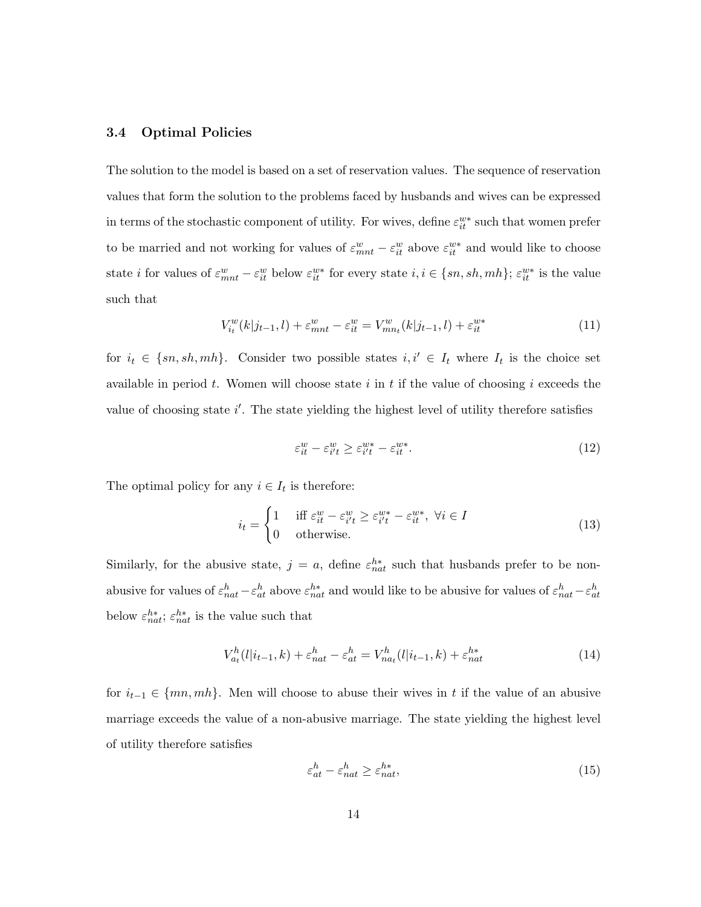## 3.4 Optimal Policies

The solution to the model is based on a set of reservation values. The sequence of reservation values that form the solution to the problems faced by husbands and wives can be expressed in terms of the stochastic component of utility. For wives, define  $\varepsilon_{it}^{w*}$  such that women prefer to be married and not working for values of  $\varepsilon_{mnt}^w - \varepsilon_{it}^w$  above  $\varepsilon_{it}^{w*}$  and would like to choose state *i* for values of  $\varepsilon_{mnt}^w - \varepsilon_{it}^w$  below  $\varepsilon_{it}^{w*}$  for every state  $i, i \in \{sn, sh, mh\}; \varepsilon_{it}^{w*}$  is the value such that

$$
V_{i_t}^w(k|j_{t-1}, l) + \varepsilon_{mnt}^w - \varepsilon_{it}^w = V_{mn_t}^w(k|j_{t-1}, l) + \varepsilon_{it}^{w*}
$$
 (11)

for  $i_t \in \{sn, sh, mh\}$ . Consider two possible states  $i, i' \in I_t$  where  $I_t$  is the choice set available in period t. Women will choose state i in t if the value of choosing i exceeds the value of choosing state  $i'$ . The state yielding the highest level of utility therefore satisfies

$$
\varepsilon_{it}^w - \varepsilon_{i't}^w \ge \varepsilon_{i't}^{w*} - \varepsilon_{it}^{w*}.
$$
\n(12)

The optimal policy for any  $i \in I_t$  is therefore:

$$
i_t = \begin{cases} 1 & \text{iff } \varepsilon_{it}^w - \varepsilon_{i't}^w \ge \varepsilon_{i't}^{w*} - \varepsilon_{it}^{w*}, \ \forall i \in I \\ 0 & \text{otherwise.} \end{cases}
$$
(13)

Similarly, for the abusive state,  $j = a$ , define  $\varepsilon_{nat}^{h*}$  such that husbands prefer to be nonabusive for values of  $\varepsilon_{nat}^h - \varepsilon_{at}^h$  above  $\varepsilon_{nat}^{h*}$  and would like to be abusive for values of  $\varepsilon_{nat}^h - \varepsilon_{at}^h$ below  $\varepsilon_{nat}^{h*}$ ;  $\varepsilon_{nat}^{h*}$  is the value such that

$$
V_{a_t}^h(l|i_{t-1},k) + \varepsilon_{nat}^h - \varepsilon_{at}^h = V_{nat}^h(l|i_{t-1},k) + \varepsilon_{nat}^{h*}
$$
\n(14)

for  $i_{t-1} \in \{mn, mh\}$ . Men will choose to abuse their wives in t if the value of an abusive marriage exceeds the value of a non-abusive marriage. The state yielding the highest level of utility therefore satisfies

$$
\varepsilon_{at}^h - \varepsilon_{nat}^h \ge \varepsilon_{nat}^{h*},\tag{15}
$$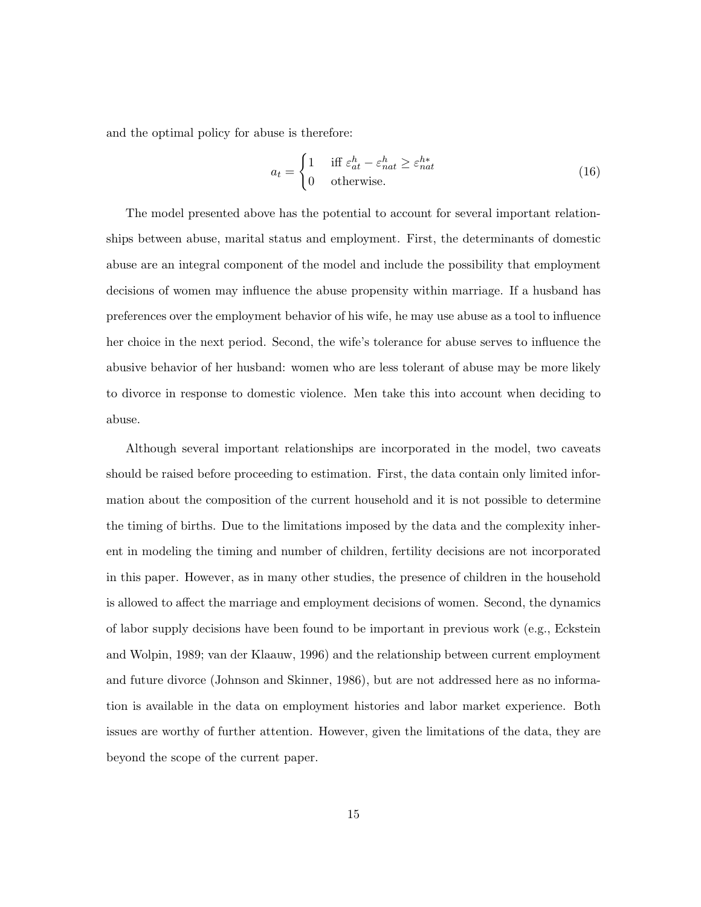and the optimal policy for abuse is therefore:

$$
a_t = \begin{cases} 1 & \text{iff } \varepsilon_{at}^h - \varepsilon_{nat}^h \ge \varepsilon_{nat}^{h*} \\ 0 & \text{otherwise.} \end{cases}
$$
 (16)

The model presented above has the potential to account for several important relationships between abuse, marital status and employment. First, the determinants of domestic abuse are an integral component of the model and include the possibility that employment decisions of women may influence the abuse propensity within marriage. If a husband has preferences over the employment behavior of his wife, he may use abuse as a tool to influence her choice in the next period. Second, the wife's tolerance for abuse serves to influence the abusive behavior of her husband: women who are less tolerant of abuse may be more likely to divorce in response to domestic violence. Men take this into account when deciding to abuse.

Although several important relationships are incorporated in the model, two caveats should be raised before proceeding to estimation. First, the data contain only limited information about the composition of the current household and it is not possible to determine the timing of births. Due to the limitations imposed by the data and the complexity inherent in modeling the timing and number of children, fertility decisions are not incorporated in this paper. However, as in many other studies, the presence of children in the household is allowed to affect the marriage and employment decisions of women. Second, the dynamics of labor supply decisions have been found to be important in previous work (e.g., Eckstein and Wolpin, 1989; van der Klaauw, 1996) and the relationship between current employment and future divorce (Johnson and Skinner, 1986), but are not addressed here as no information is available in the data on employment histories and labor market experience. Both issues are worthy of further attention. However, given the limitations of the data, they are beyond the scope of the current paper.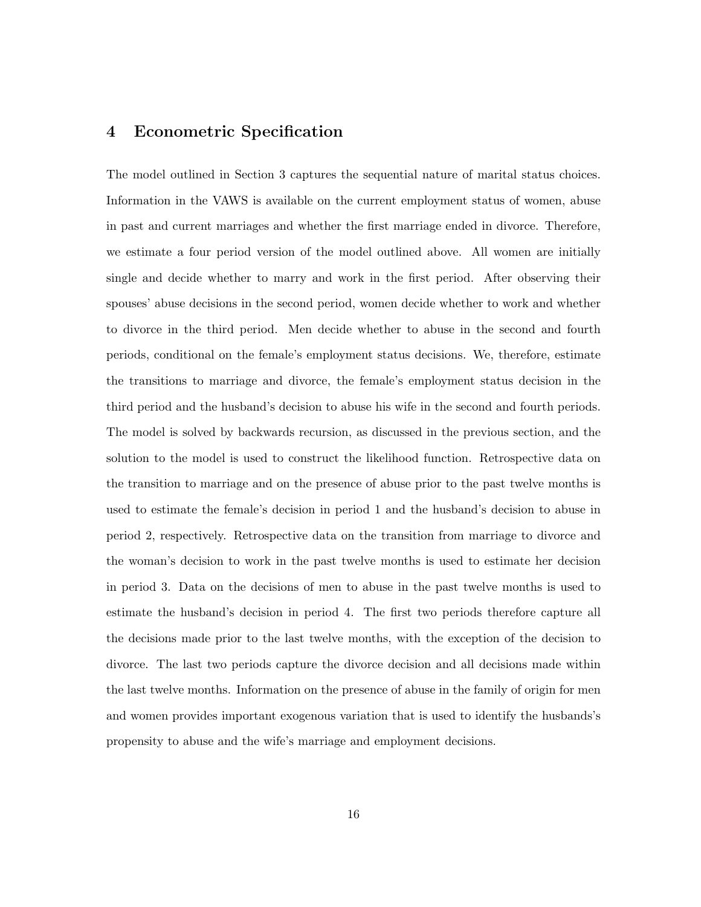# 4 Econometric Specification

The model outlined in Section 3 captures the sequential nature of marital status choices. Information in the VAWS is available on the current employment status of women, abuse in past and current marriages and whether the first marriage ended in divorce. Therefore, we estimate a four period version of the model outlined above. All women are initially single and decide whether to marry and work in the first period. After observing their spouses' abuse decisions in the second period, women decide whether to work and whether to divorce in the third period. Men decide whether to abuse in the second and fourth periods, conditional on the female's employment status decisions. We, therefore, estimate the transitions to marriage and divorce, the female's employment status decision in the third period and the husband's decision to abuse his wife in the second and fourth periods. The model is solved by backwards recursion, as discussed in the previous section, and the solution to the model is used to construct the likelihood function. Retrospective data on the transition to marriage and on the presence of abuse prior to the past twelve months is used to estimate the female's decision in period 1 and the husband's decision to abuse in period 2, respectively. Retrospective data on the transition from marriage to divorce and the woman's decision to work in the past twelve months is used to estimate her decision in period 3. Data on the decisions of men to abuse in the past twelve months is used to estimate the husband's decision in period 4. The first two periods therefore capture all the decisions made prior to the last twelve months, with the exception of the decision to divorce. The last two periods capture the divorce decision and all decisions made within the last twelve months. Information on the presence of abuse in the family of origin for men and women provides important exogenous variation that is used to identify the husbands's propensity to abuse and the wife's marriage and employment decisions.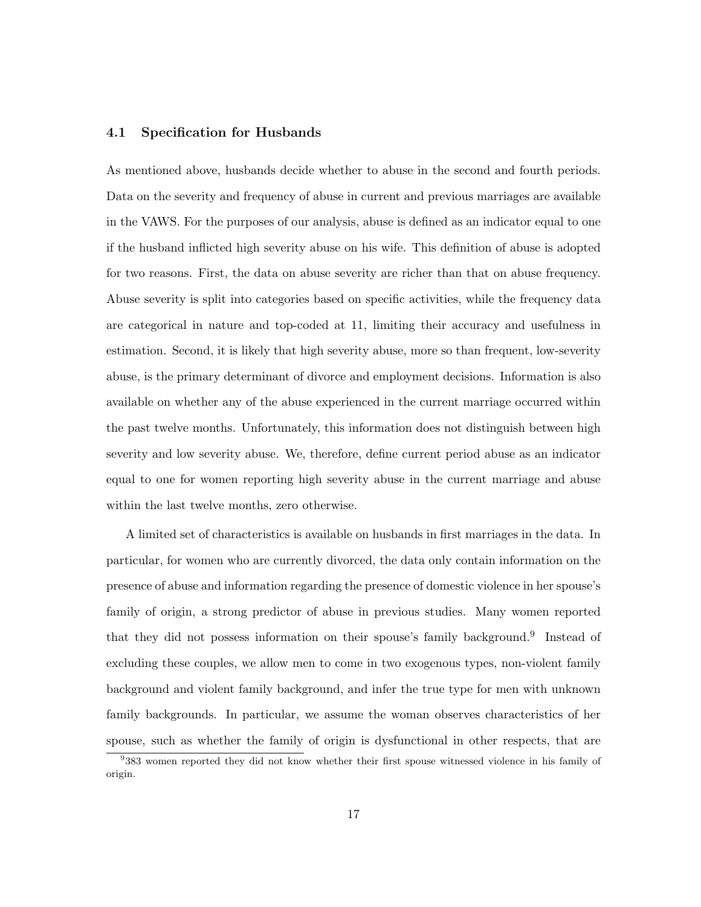## 4.1 Specification for Husbands

As mentioned above, husbands decide whether to abuse in the second and fourth periods. Data on the severity and frequency of abuse in current and previous marriages are available in the VAWS. For the purposes of our analysis, abuse is defined as an indicator equal to one if the husband inflicted high severity abuse on his wife. This definition of abuse is adopted for two reasons. First, the data on abuse severity are richer than that on abuse frequency. Abuse severity is split into categories based on specific activities, while the frequency data are categorical in nature and top-coded at 11, limiting their accuracy and usefulness in estimation. Second, it is likely that high severity abuse, more so than frequent, low-severity abuse, is the primary determinant of divorce and employment decisions. Information is also available on whether any of the abuse experienced in the current marriage occurred within the past twelve months. Unfortunately, this information does not distinguish between high severity and low severity abuse. We, therefore, define current period abuse as an indicator equal to one for women reporting high severity abuse in the current marriage and abuse within the last twelve months, zero otherwise.

A limited set of characteristics is available on husbands in first marriages in the data. In particular, for women who are currently divorced, the data only contain information on the presence of abuse and information regarding the presence of domestic violence in her spouse's family of origin, a strong predictor of abuse in previous studies. Many women reported that they did not possess information on their spouse's family background.<sup>9</sup> Instead of excluding these couples, we allow men to come in two exogenous types, non-violent family background and violent family background, and infer the true type for men with unknown family backgrounds. In particular, we assume the woman observes characteristics of her spouse, such as whether the family of origin is dysfunctional in other respects, that are

<sup>9</sup> 383 women reported they did not know whether their first spouse witnessed violence in his family of origin.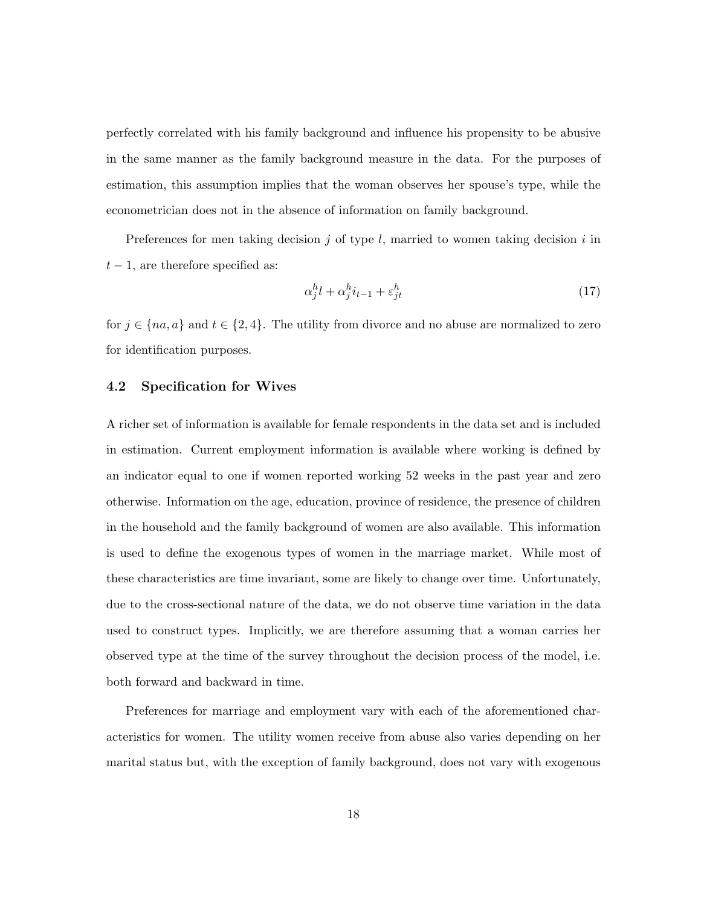perfectly correlated with his family background and influence his propensity to be abusive in the same manner as the family background measure in the data. For the purposes of estimation, this assumption implies that the woman observes her spouse's type, while the econometrician does not in the absence of information on family background.

Preferences for men taking decision j of type  $l$ , married to women taking decision i in  $t-1$ , are therefore specified as:

$$
\alpha_j^h l + \alpha_j^h i_{t-1} + \varepsilon_{jt}^h \tag{17}
$$

for  $j \in \{na, a\}$  and  $t \in \{2, 4\}$ . The utility from divorce and no abuse are normalized to zero for identification purposes.

### 4.2 Specification for Wives

A richer set of information is available for female respondents in the data set and is included in estimation. Current employment information is available where working is defined by an indicator equal to one if women reported working 52 weeks in the past year and zero otherwise. Information on the age, education, province of residence, the presence of children in the household and the family background of women are also available. This information is used to define the exogenous types of women in the marriage market. While most of these characteristics are time invariant, some are likely to change over time. Unfortunately, due to the cross-sectional nature of the data, we do not observe time variation in the data used to construct types. Implicitly, we are therefore assuming that a woman carries her observed type at the time of the survey throughout the decision process of the model, i.e. both forward and backward in time.

Preferences for marriage and employment vary with each of the aforementioned characteristics for women. The utility women receive from abuse also varies depending on her marital status but, with the exception of family background, does not vary with exogenous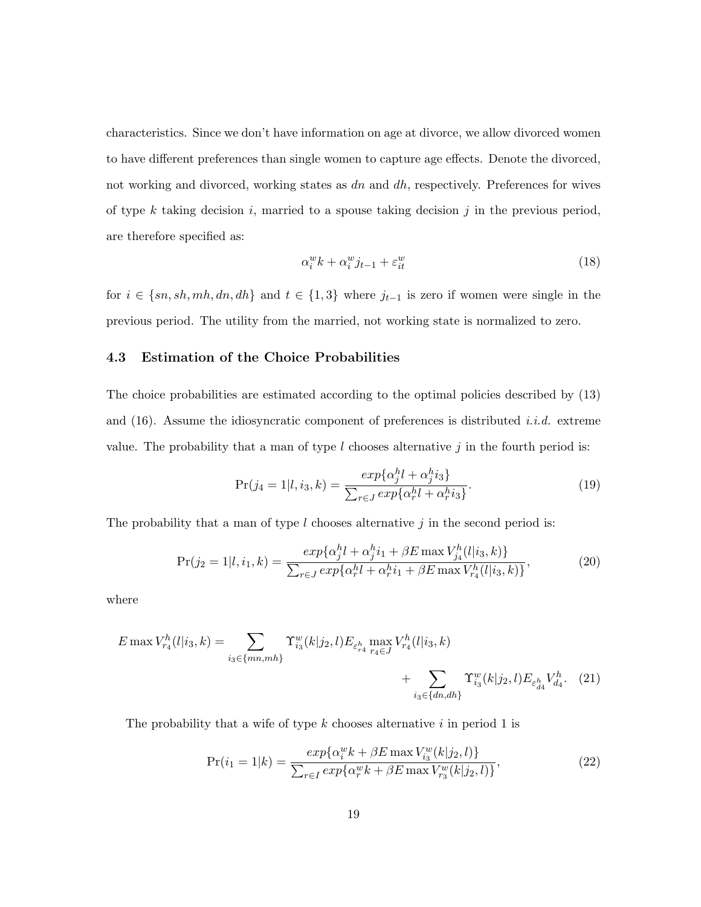characteristics. Since we don't have information on age at divorce, we allow divorced women to have different preferences than single women to capture age effects. Denote the divorced, not working and divorced, working states as  $dn$  and  $dh$ , respectively. Preferences for wives of type k taking decision i, married to a spouse taking decision j in the previous period, are therefore specified as:

$$
\alpha_i^w k + \alpha_i^w j_{t-1} + \varepsilon_{it}^w \tag{18}
$$

for  $i \in \{sn, sh, mh, dn, dh\}$  and  $t \in \{1, 3\}$  where  $j_{t-1}$  is zero if women were single in the previous period. The utility from the married, not working state is normalized to zero.

## 4.3 Estimation of the Choice Probabilities

The choice probabilities are estimated according to the optimal policies described by (13) and  $(16)$ . Assume the idiosyncratic component of preferences is distributed *i.i.d.* extreme value. The probability that a man of type  $l$  chooses alternative  $j$  in the fourth period is:

$$
Pr(j_4 = 1 | l, i_3, k) = \frac{exp\{\alpha_j^h l + \alpha_j^h i_3\}}{\sum_{r \in J} exp\{\alpha_r^h l + \alpha_r^h i_3\}}.
$$
\n(19)

The probability that a man of type  $l$  chooses alternative  $j$  in the second period is:

$$
Pr(j_2 = 1|l, i_1, k) = \frac{exp\{\alpha_j^h l + \alpha_j^h i_1 + \beta E \max V_{j_4}^h (l|i_3, k)\}}{\sum_{r \in J} exp\{\alpha_r^h l + \alpha_r^h i_1 + \beta E \max V_{r_4}^h (l|i_3, k)\}},
$$
(20)

where

$$
E \max V_{r_4}^h(l|i_3,k) = \sum_{i_3 \in \{mn, mh\}} \Upsilon_{i_3}^w(k|j_2,l) E_{\varepsilon_{r_4}^h} \max_{r_4 \in J} V_{r_4}^h(l|i_3,k) + \sum_{i_3 \in \{dn, dh\}} \Upsilon_{i_3}^w(k|j_2,l) E_{\varepsilon_{d_4}^h} V_{d_4}^h. (21)
$$

The probability that a wife of type  $k$  chooses alternative  $i$  in period 1 is

$$
Pr(i_1 = 1|k) = \frac{exp\{\alpha_i^w k + \beta E \max V_{i_3}^w(k|j_2, l)\}}{\sum_{r \in I} exp\{\alpha_r^w k + \beta E \max V_{r_3}^w(k|j_2, l)\}},
$$
\n(22)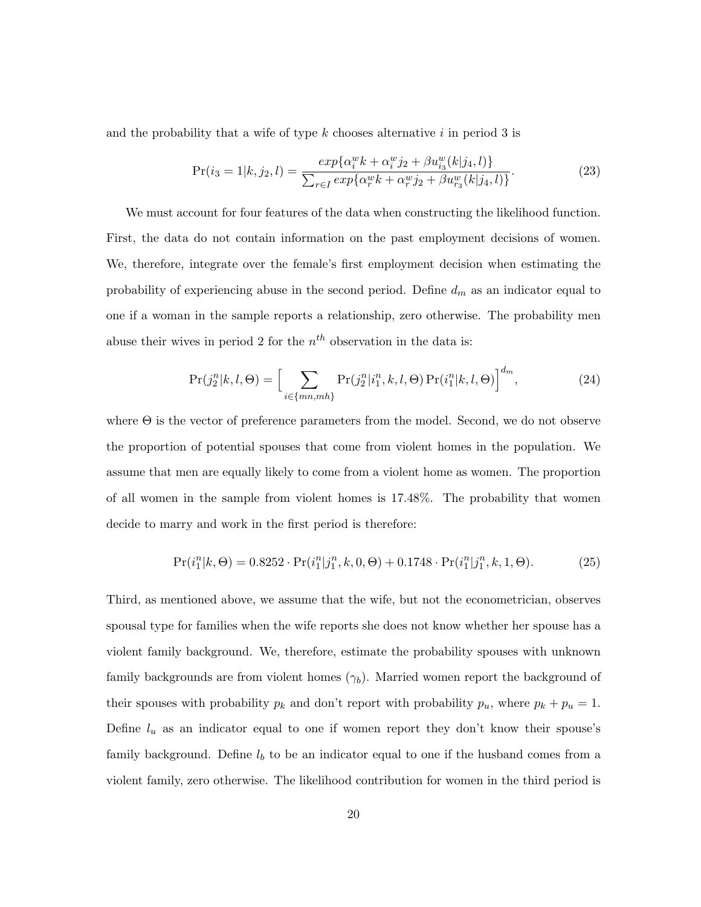and the probability that a wife of type  $k$  chooses alternative  $i$  in period 3 is

$$
Pr(i_3 = 1|k, j_2, l) = \frac{exp\{\alpha_i^w k + \alpha_i^w j_2 + \beta u_{i_3}^w(k|j_4, l)\}}{\sum_{r \in I} exp\{\alpha_r^w k + \alpha_r^w j_2 + \beta u_{r_3}^w(k|j_4, l)\}}.
$$
(23)

We must account for four features of the data when constructing the likelihood function. First, the data do not contain information on the past employment decisions of women. We, therefore, integrate over the female's first employment decision when estimating the probability of experiencing abuse in the second period. Define  $d_m$  as an indicator equal to one if a woman in the sample reports a relationship, zero otherwise. The probability men abuse their wives in period 2 for the  $n<sup>th</sup>$  observation in the data is:

$$
Pr(j_2^n|k, l, \Theta) = \left[ \sum_{i \in \{mn, mh\}} Pr(j_2^n|i_1^n, k, l, \Theta) Pr(i_1^n|k, l, \Theta) \right]^{d_m},
$$
\n(24)

where  $\Theta$  is the vector of preference parameters from the model. Second, we do not observe the proportion of potential spouses that come from violent homes in the population. We assume that men are equally likely to come from a violent home as women. The proportion of all women in the sample from violent homes is 17.48%. The probability that women decide to marry and work in the first period is therefore:

$$
Pr(i_1^n|k, \Theta) = 0.8252 \cdot Pr(i_1^n|j_1^n, k, 0, \Theta) + 0.1748 \cdot Pr(i_1^n|j_1^n, k, 1, \Theta). \tag{25}
$$

Third, as mentioned above, we assume that the wife, but not the econometrician, observes spousal type for families when the wife reports she does not know whether her spouse has a violent family background. We, therefore, estimate the probability spouses with unknown family backgrounds are from violent homes  $(\gamma_b)$ . Married women report the background of their spouses with probability  $p_k$  and don't report with probability  $p_u$ , where  $p_k + p_u = 1$ . Define  $l_u$  as an indicator equal to one if women report they don't know their spouse's family background. Define  $l_b$  to be an indicator equal to one if the husband comes from a violent family, zero otherwise. The likelihood contribution for women in the third period is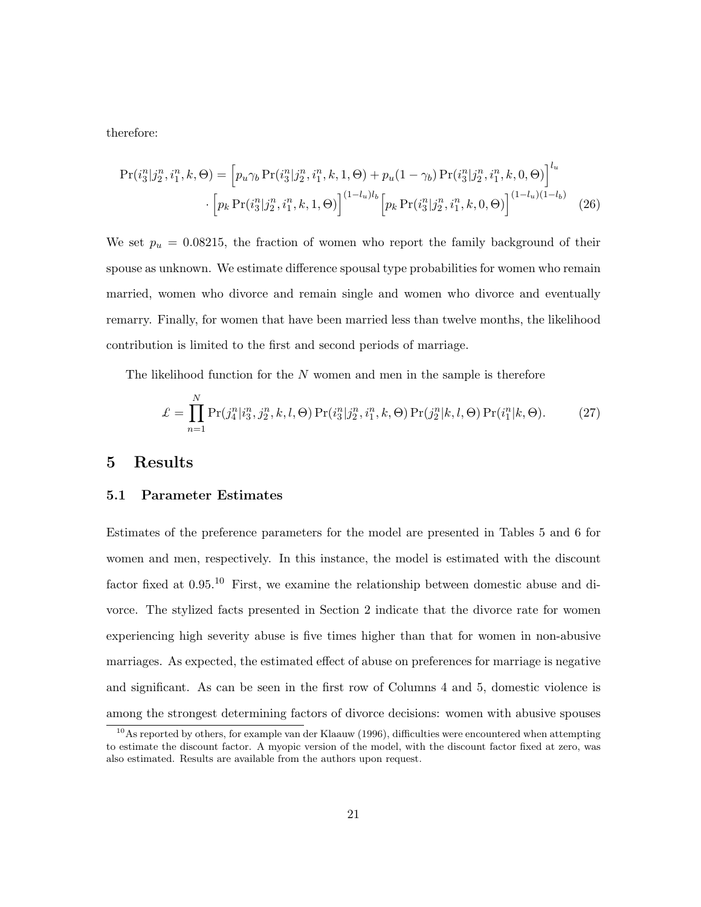therefore:

$$
\Pr(i_3^n|j_2^n, i_1^n, k, \Theta) = \left[ p_u \gamma_b \Pr(i_3^n|j_2^n, i_1^n, k, 1, \Theta) + p_u (1 - \gamma_b) \Pr(i_3^n|j_2^n, i_1^n, k, 0, \Theta) \right]^{l_u} \cdot \left[ p_k \Pr(i_3^n|j_2^n, i_1^n, k, 1, \Theta) \right]^{(1 - l_u)l_b} \left[ p_k \Pr(i_3^n|j_2^n, i_1^n, k, 0, \Theta) \right]^{(1 - l_u)(1 - l_b)} \tag{26}
$$

We set  $p_u = 0.08215$ , the fraction of women who report the family background of their spouse as unknown. We estimate difference spousal type probabilities for women who remain married, women who divorce and remain single and women who divorce and eventually remarry. Finally, for women that have been married less than twelve months, the likelihood contribution is limited to the first and second periods of marriage.

The likelihood function for the  $N$  women and men in the sample is therefore

$$
\mathcal{L} = \prod_{n=1}^{N} \Pr(j_4^n | i_3^n, j_2^n, k, l, \Theta) \Pr(i_3^n | j_2^n, i_1^n, k, \Theta) \Pr(j_2^n | k, l, \Theta) \Pr(i_1^n | k, \Theta).
$$
 (27)

## 5 Results

## 5.1 Parameter Estimates

Estimates of the preference parameters for the model are presented in Tables 5 and 6 for women and men, respectively. In this instance, the model is estimated with the discount factor fixed at 0.95.<sup>10</sup> First, we examine the relationship between domestic abuse and divorce. The stylized facts presented in Section 2 indicate that the divorce rate for women experiencing high severity abuse is five times higher than that for women in non-abusive marriages. As expected, the estimated effect of abuse on preferences for marriage is negative and significant. As can be seen in the first row of Columns 4 and 5, domestic violence is among the strongest determining factors of divorce decisions: women with abusive spouses

 $10$ As reported by others, for example van der Klaauw (1996), difficulties were encountered when attempting to estimate the discount factor. A myopic version of the model, with the discount factor fixed at zero, was also estimated. Results are available from the authors upon request.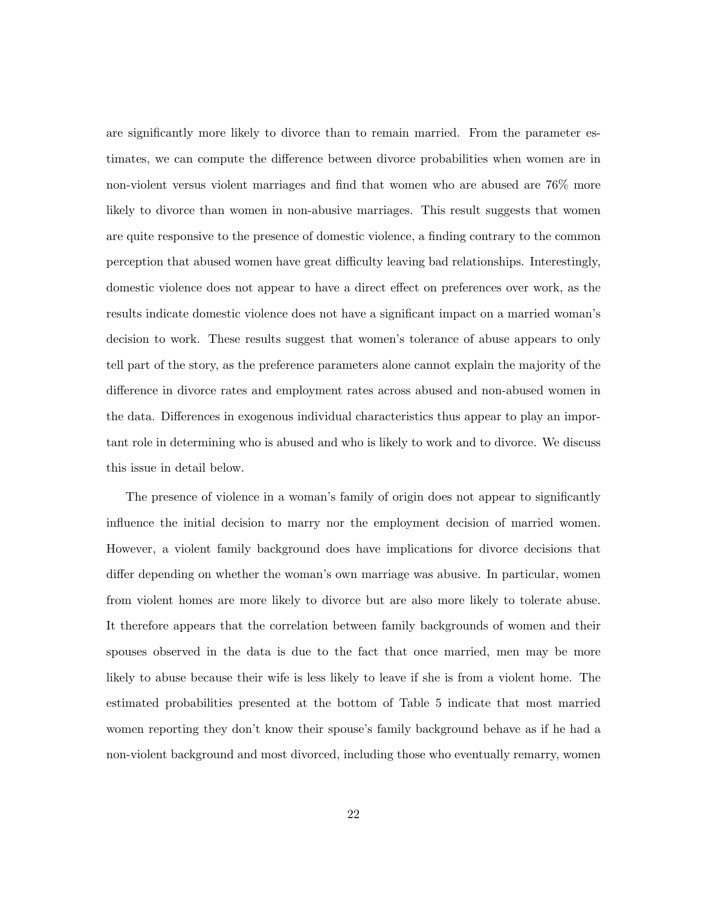are significantly more likely to divorce than to remain married. From the parameter estimates, we can compute the difference between divorce probabilities when women are in non-violent versus violent marriages and find that women who are abused are 76% more likely to divorce than women in non-abusive marriages. This result suggests that women are quite responsive to the presence of domestic violence, a finding contrary to the common perception that abused women have great difficulty leaving bad relationships. Interestingly, domestic violence does not appear to have a direct effect on preferences over work, as the results indicate domestic violence does not have a significant impact on a married woman's decision to work. These results suggest that women's tolerance of abuse appears to only tell part of the story, as the preference parameters alone cannot explain the majority of the difference in divorce rates and employment rates across abused and non-abused women in the data. Differences in exogenous individual characteristics thus appear to play an important role in determining who is abused and who is likely to work and to divorce. We discuss this issue in detail below.

The presence of violence in a woman's family of origin does not appear to significantly influence the initial decision to marry nor the employment decision of married women. However, a violent family background does have implications for divorce decisions that differ depending on whether the woman's own marriage was abusive. In particular, women from violent homes are more likely to divorce but are also more likely to tolerate abuse. It therefore appears that the correlation between family backgrounds of women and their spouses observed in the data is due to the fact that once married, men may be more likely to abuse because their wife is less likely to leave if she is from a violent home. The estimated probabilities presented at the bottom of Table 5 indicate that most married women reporting they don't know their spouse's family background behave as if he had a non-violent background and most divorced, including those who eventually remarry, women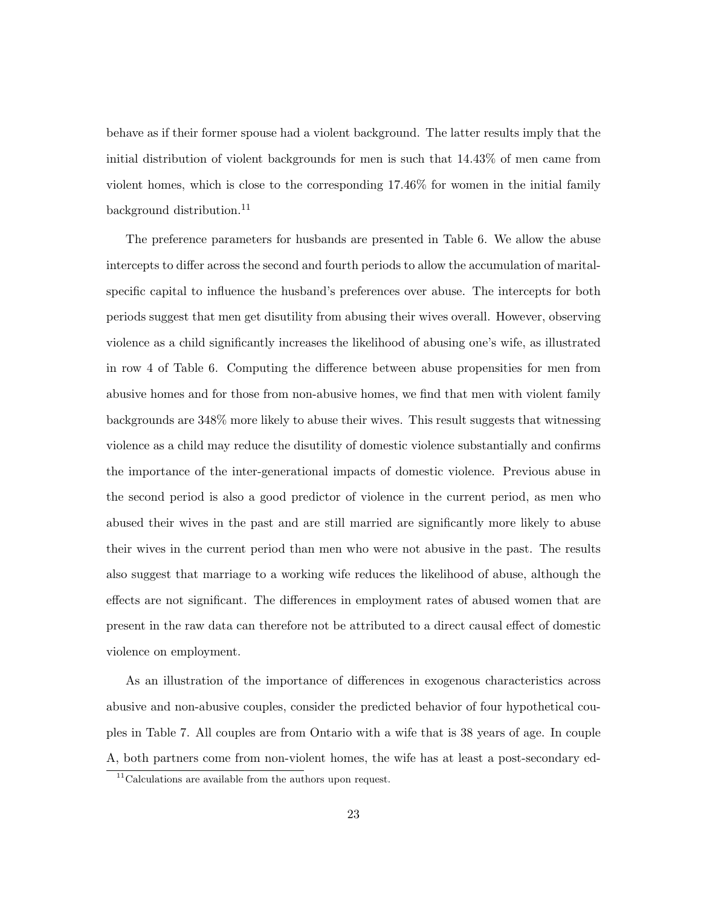behave as if their former spouse had a violent background. The latter results imply that the initial distribution of violent backgrounds for men is such that 14.43% of men came from violent homes, which is close to the corresponding 17.46% for women in the initial family background distribution.<sup>11</sup>

The preference parameters for husbands are presented in Table 6. We allow the abuse intercepts to differ across the second and fourth periods to allow the accumulation of maritalspecific capital to influence the husband's preferences over abuse. The intercepts for both periods suggest that men get disutility from abusing their wives overall. However, observing violence as a child significantly increases the likelihood of abusing one's wife, as illustrated in row 4 of Table 6. Computing the difference between abuse propensities for men from abusive homes and for those from non-abusive homes, we find that men with violent family backgrounds are 348% more likely to abuse their wives. This result suggests that witnessing violence as a child may reduce the disutility of domestic violence substantially and confirms the importance of the inter-generational impacts of domestic violence. Previous abuse in the second period is also a good predictor of violence in the current period, as men who abused their wives in the past and are still married are significantly more likely to abuse their wives in the current period than men who were not abusive in the past. The results also suggest that marriage to a working wife reduces the likelihood of abuse, although the effects are not significant. The differences in employment rates of abused women that are present in the raw data can therefore not be attributed to a direct causal effect of domestic violence on employment.

As an illustration of the importance of differences in exogenous characteristics across abusive and non-abusive couples, consider the predicted behavior of four hypothetical couples in Table 7. All couples are from Ontario with a wife that is 38 years of age. In couple A, both partners come from non-violent homes, the wife has at least a post-secondary ed-

<sup>&</sup>lt;sup>11</sup>Calculations are available from the authors upon request.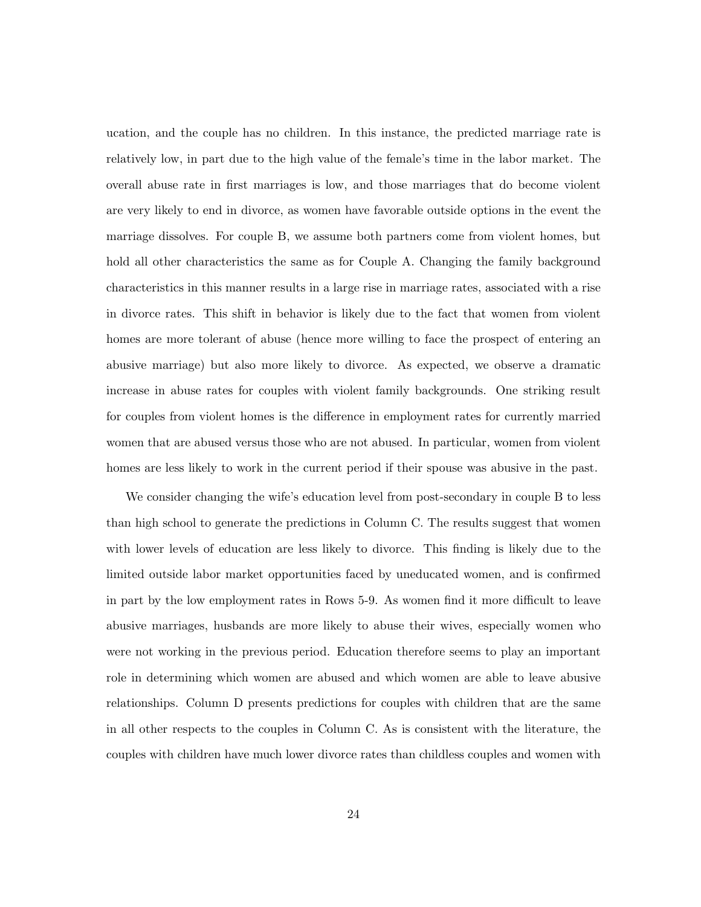ucation, and the couple has no children. In this instance, the predicted marriage rate is relatively low, in part due to the high value of the female's time in the labor market. The overall abuse rate in first marriages is low, and those marriages that do become violent are very likely to end in divorce, as women have favorable outside options in the event the marriage dissolves. For couple B, we assume both partners come from violent homes, but hold all other characteristics the same as for Couple A. Changing the family background characteristics in this manner results in a large rise in marriage rates, associated with a rise in divorce rates. This shift in behavior is likely due to the fact that women from violent homes are more tolerant of abuse (hence more willing to face the prospect of entering an abusive marriage) but also more likely to divorce. As expected, we observe a dramatic increase in abuse rates for couples with violent family backgrounds. One striking result for couples from violent homes is the difference in employment rates for currently married women that are abused versus those who are not abused. In particular, women from violent homes are less likely to work in the current period if their spouse was abusive in the past.

We consider changing the wife's education level from post-secondary in couple B to less than high school to generate the predictions in Column C. The results suggest that women with lower levels of education are less likely to divorce. This finding is likely due to the limited outside labor market opportunities faced by uneducated women, and is confirmed in part by the low employment rates in Rows 5-9. As women find it more difficult to leave abusive marriages, husbands are more likely to abuse their wives, especially women who were not working in the previous period. Education therefore seems to play an important role in determining which women are abused and which women are able to leave abusive relationships. Column D presents predictions for couples with children that are the same in all other respects to the couples in Column C. As is consistent with the literature, the couples with children have much lower divorce rates than childless couples and women with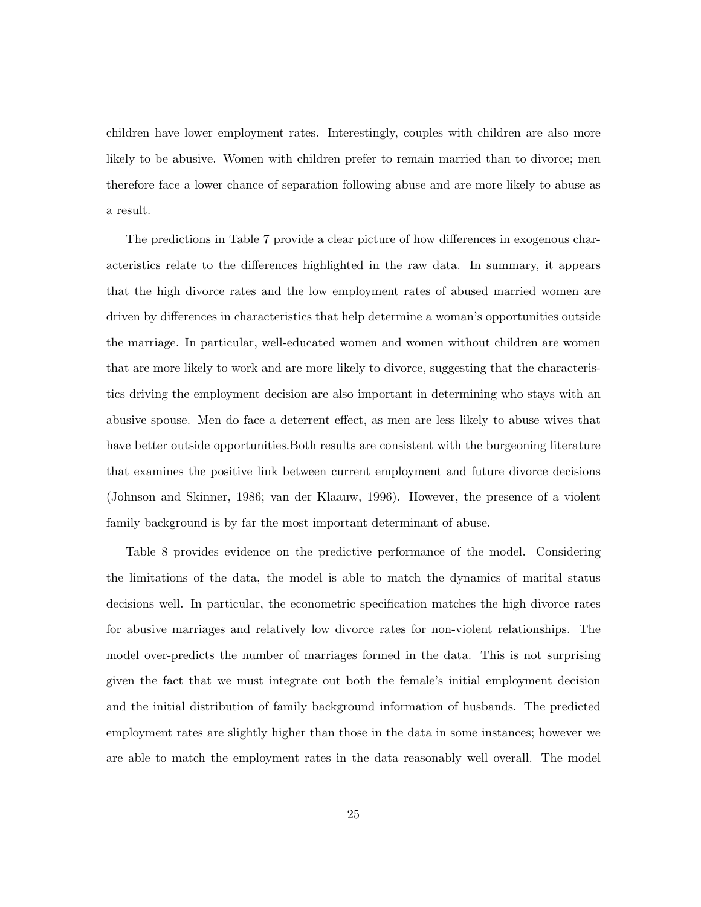children have lower employment rates. Interestingly, couples with children are also more likely to be abusive. Women with children prefer to remain married than to divorce; men therefore face a lower chance of separation following abuse and are more likely to abuse as a result.

The predictions in Table 7 provide a clear picture of how differences in exogenous characteristics relate to the differences highlighted in the raw data. In summary, it appears that the high divorce rates and the low employment rates of abused married women are driven by differences in characteristics that help determine a woman's opportunities outside the marriage. In particular, well-educated women and women without children are women that are more likely to work and are more likely to divorce, suggesting that the characteristics driving the employment decision are also important in determining who stays with an abusive spouse. Men do face a deterrent effect, as men are less likely to abuse wives that have better outside opportunities.Both results are consistent with the burgeoning literature that examines the positive link between current employment and future divorce decisions (Johnson and Skinner, 1986; van der Klaauw, 1996). However, the presence of a violent family background is by far the most important determinant of abuse.

Table 8 provides evidence on the predictive performance of the model. Considering the limitations of the data, the model is able to match the dynamics of marital status decisions well. In particular, the econometric specification matches the high divorce rates for abusive marriages and relatively low divorce rates for non-violent relationships. The model over-predicts the number of marriages formed in the data. This is not surprising given the fact that we must integrate out both the female's initial employment decision and the initial distribution of family background information of husbands. The predicted employment rates are slightly higher than those in the data in some instances; however we are able to match the employment rates in the data reasonably well overall. The model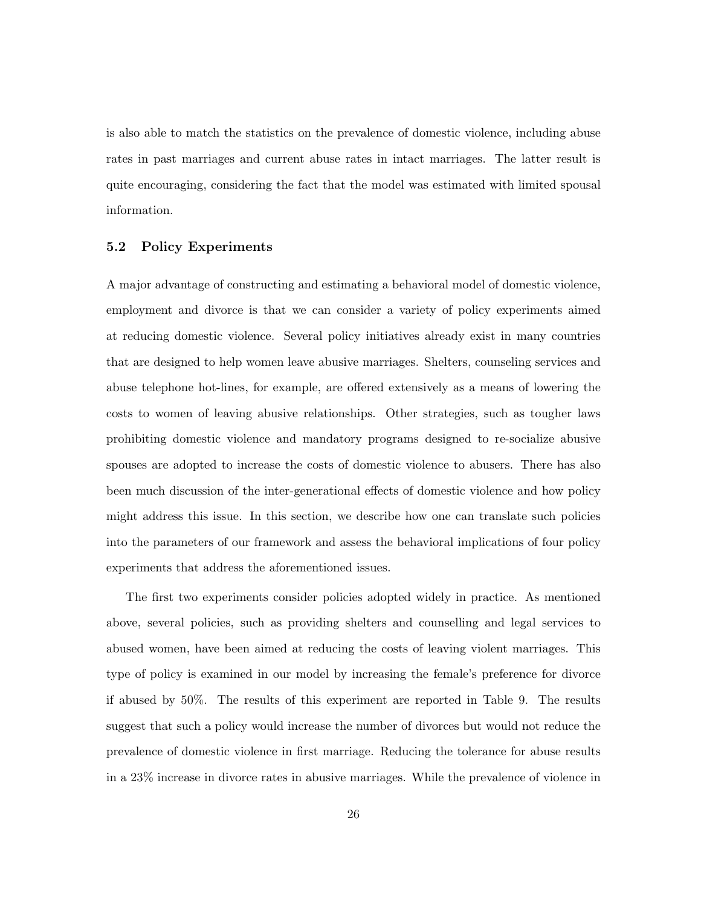is also able to match the statistics on the prevalence of domestic violence, including abuse rates in past marriages and current abuse rates in intact marriages. The latter result is quite encouraging, considering the fact that the model was estimated with limited spousal information.

## 5.2 Policy Experiments

A major advantage of constructing and estimating a behavioral model of domestic violence, employment and divorce is that we can consider a variety of policy experiments aimed at reducing domestic violence. Several policy initiatives already exist in many countries that are designed to help women leave abusive marriages. Shelters, counseling services and abuse telephone hot-lines, for example, are offered extensively as a means of lowering the costs to women of leaving abusive relationships. Other strategies, such as tougher laws prohibiting domestic violence and mandatory programs designed to re-socialize abusive spouses are adopted to increase the costs of domestic violence to abusers. There has also been much discussion of the inter-generational effects of domestic violence and how policy might address this issue. In this section, we describe how one can translate such policies into the parameters of our framework and assess the behavioral implications of four policy experiments that address the aforementioned issues.

The first two experiments consider policies adopted widely in practice. As mentioned above, several policies, such as providing shelters and counselling and legal services to abused women, have been aimed at reducing the costs of leaving violent marriages. This type of policy is examined in our model by increasing the female's preference for divorce if abused by 50%. The results of this experiment are reported in Table 9. The results suggest that such a policy would increase the number of divorces but would not reduce the prevalence of domestic violence in first marriage. Reducing the tolerance for abuse results in a 23% increase in divorce rates in abusive marriages. While the prevalence of violence in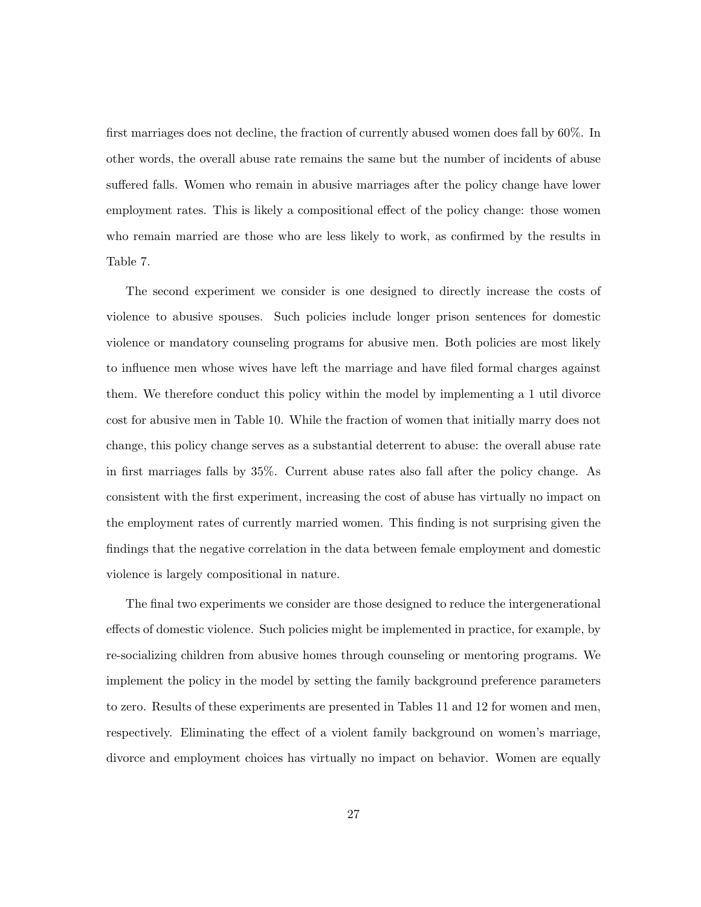first marriages does not decline, the fraction of currently abused women does fall by 60%. In other words, the overall abuse rate remains the same but the number of incidents of abuse suffered falls. Women who remain in abusive marriages after the policy change have lower employment rates. This is likely a compositional effect of the policy change: those women who remain married are those who are less likely to work, as confirmed by the results in Table 7.

The second experiment we consider is one designed to directly increase the costs of violence to abusive spouses. Such policies include longer prison sentences for domestic violence or mandatory counseling programs for abusive men. Both policies are most likely to influence men whose wives have left the marriage and have filed formal charges against them. We therefore conduct this policy within the model by implementing a 1 util divorce cost for abusive men in Table 10. While the fraction of women that initially marry does not change, this policy change serves as a substantial deterrent to abuse: the overall abuse rate in first marriages falls by 35%. Current abuse rates also fall after the policy change. As consistent with the first experiment, increasing the cost of abuse has virtually no impact on the employment rates of currently married women. This finding is not surprising given the findings that the negative correlation in the data between female employment and domestic violence is largely compositional in nature.

The final two experiments we consider are those designed to reduce the intergenerational effects of domestic violence. Such policies might be implemented in practice, for example, by re-socializing children from abusive homes through counseling or mentoring programs. We implement the policy in the model by setting the family background preference parameters to zero. Results of these experiments are presented in Tables 11 and 12 for women and men, respectively. Eliminating the effect of a violent family background on women's marriage, divorce and employment choices has virtually no impact on behavior. Women are equally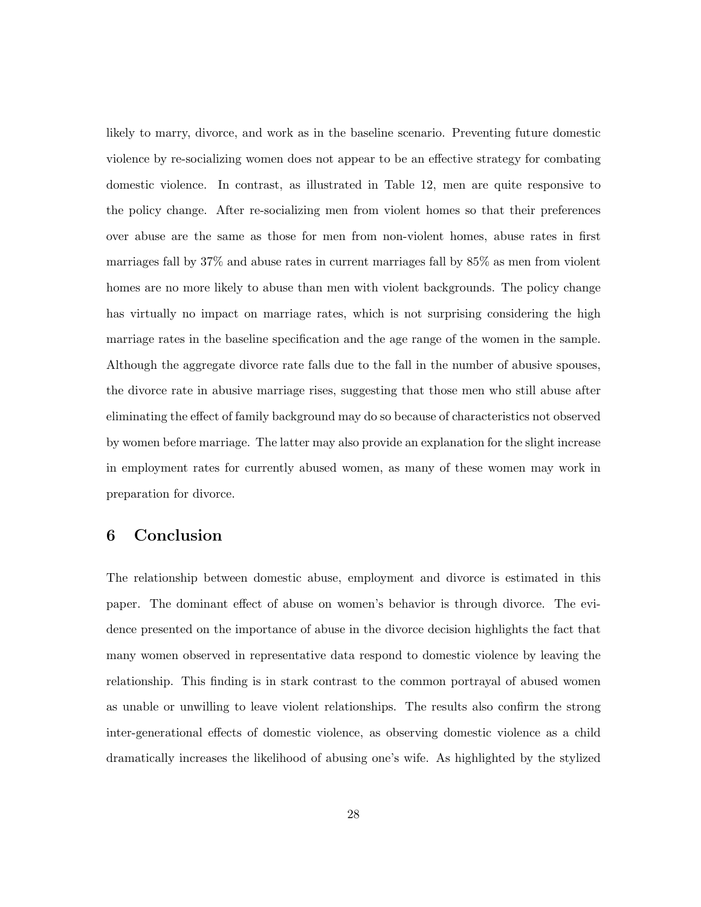likely to marry, divorce, and work as in the baseline scenario. Preventing future domestic violence by re-socializing women does not appear to be an effective strategy for combating domestic violence. In contrast, as illustrated in Table 12, men are quite responsive to the policy change. After re-socializing men from violent homes so that their preferences over abuse are the same as those for men from non-violent homes, abuse rates in first marriages fall by 37% and abuse rates in current marriages fall by 85% as men from violent homes are no more likely to abuse than men with violent backgrounds. The policy change has virtually no impact on marriage rates, which is not surprising considering the high marriage rates in the baseline specification and the age range of the women in the sample. Although the aggregate divorce rate falls due to the fall in the number of abusive spouses, the divorce rate in abusive marriage rises, suggesting that those men who still abuse after eliminating the effect of family background may do so because of characteristics not observed by women before marriage. The latter may also provide an explanation for the slight increase in employment rates for currently abused women, as many of these women may work in preparation for divorce.

## 6 Conclusion

The relationship between domestic abuse, employment and divorce is estimated in this paper. The dominant effect of abuse on women's behavior is through divorce. The evidence presented on the importance of abuse in the divorce decision highlights the fact that many women observed in representative data respond to domestic violence by leaving the relationship. This finding is in stark contrast to the common portrayal of abused women as unable or unwilling to leave violent relationships. The results also confirm the strong inter-generational effects of domestic violence, as observing domestic violence as a child dramatically increases the likelihood of abusing one's wife. As highlighted by the stylized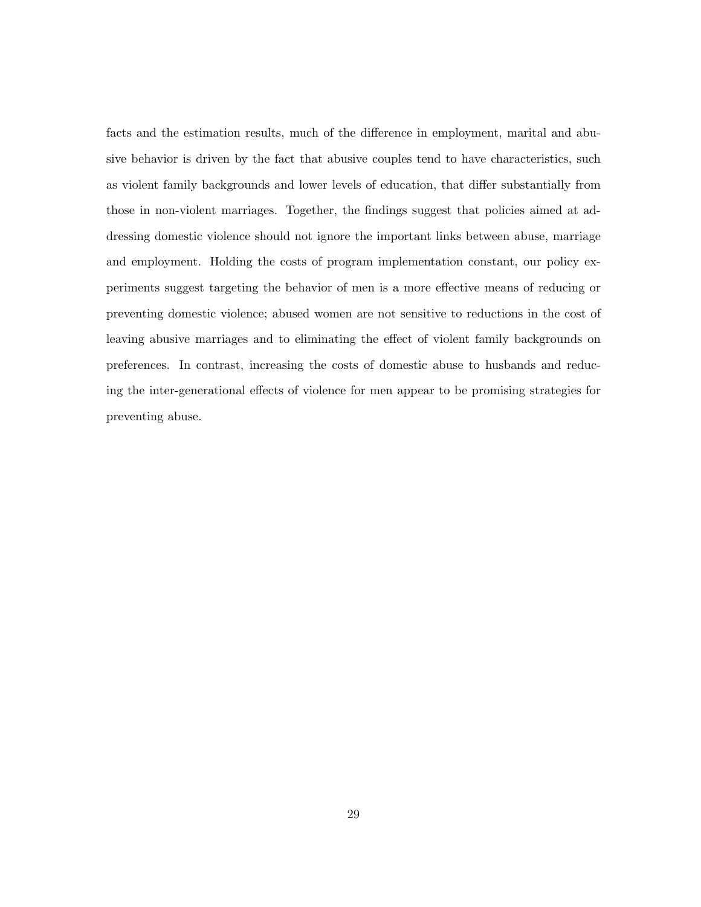facts and the estimation results, much of the difference in employment, marital and abusive behavior is driven by the fact that abusive couples tend to have characteristics, such as violent family backgrounds and lower levels of education, that differ substantially from those in non-violent marriages. Together, the findings suggest that policies aimed at addressing domestic violence should not ignore the important links between abuse, marriage and employment. Holding the costs of program implementation constant, our policy experiments suggest targeting the behavior of men is a more effective means of reducing or preventing domestic violence; abused women are not sensitive to reductions in the cost of leaving abusive marriages and to eliminating the effect of violent family backgrounds on preferences. In contrast, increasing the costs of domestic abuse to husbands and reducing the inter-generational effects of violence for men appear to be promising strategies for preventing abuse.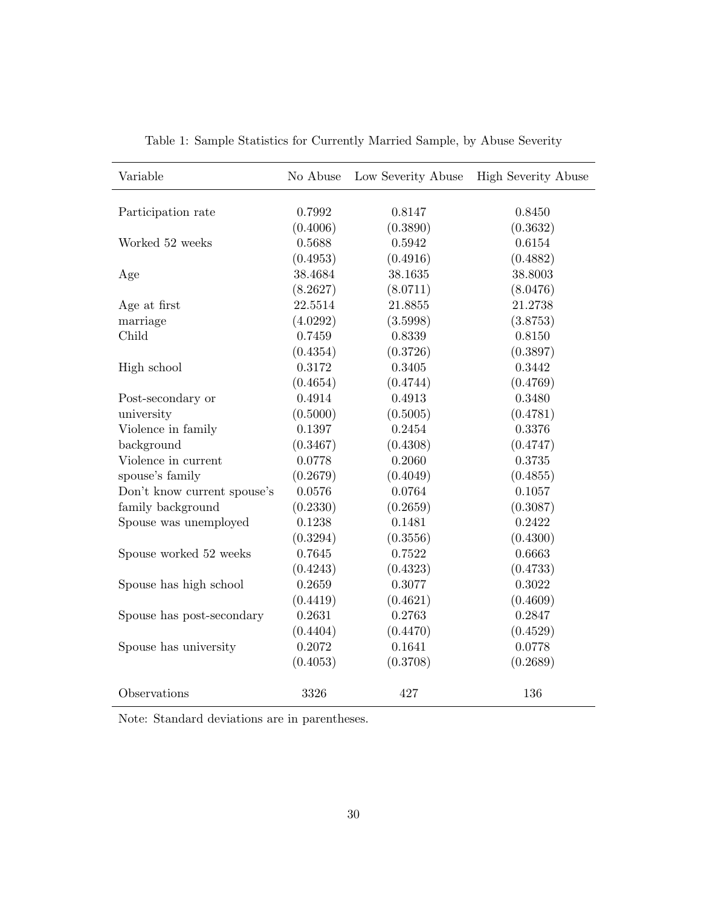| Variable                    | No Abuse | Low Severity Abuse | <b>High Severity Abuse</b> |
|-----------------------------|----------|--------------------|----------------------------|
| Participation rate          | 0.7992   | 0.8147             | 0.8450                     |
|                             | (0.4006) | (0.3890)           | (0.3632)                   |
| Worked 52 weeks             | 0.5688   | 0.5942             | 0.6154                     |
|                             | (0.4953) | (0.4916)           | (0.4882)                   |
| Age                         | 38.4684  | 38.1635            | 38.8003                    |
|                             | (8.2627) | (8.0711)           | (8.0476)                   |
| Age at first                | 22.5514  | 21.8855            | 21.2738                    |
| marriage                    | (4.0292) | (3.5998)           | (3.8753)                   |
| Child                       | 0.7459   | 0.8339             | 0.8150                     |
|                             | (0.4354) | (0.3726)           | (0.3897)                   |
| High school                 | 0.3172   | 0.3405             | 0.3442                     |
|                             | (0.4654) | (0.4744)           | (0.4769)                   |
| Post-secondary or           | 0.4914   | 0.4913             | 0.3480                     |
| university                  | (0.5000) | (0.5005)           | (0.4781)                   |
| Violence in family          | 0.1397   | 0.2454             | 0.3376                     |
| background                  | (0.3467) | (0.4308)           | (0.4747)                   |
| Violence in current         | 0.0778   | 0.2060             | 0.3735                     |
| spouse's family             | (0.2679) | (0.4049)           | (0.4855)                   |
| Don't know current spouse's | 0.0576   | 0.0764             | 0.1057                     |
| family background           | (0.2330) | (0.2659)           | (0.3087)                   |
| Spouse was unemployed       | 0.1238   | 0.1481             | 0.2422                     |
|                             | (0.3294) | (0.3556)           | (0.4300)                   |
| Spouse worked 52 weeks      | 0.7645   | 0.7522             | 0.6663                     |
|                             | (0.4243) | (0.4323)           | (0.4733)                   |
| Spouse has high school      | 0.2659   | 0.3077             | 0.3022                     |
|                             | (0.4419) | (0.4621)           | (0.4609)                   |
| Spouse has post-secondary   | 0.2631   | 0.2763             | 0.2847                     |
|                             | (0.4404) | (0.4470)           | (0.4529)                   |
| Spouse has university       | 0.2072   | 0.1641             | 0.0778                     |
|                             | (0.4053) | (0.3708)           | (0.2689)                   |
| Observations                | 3326     | 427                | 136                        |

Table 1: Sample Statistics for Currently Married Sample, by Abuse Severity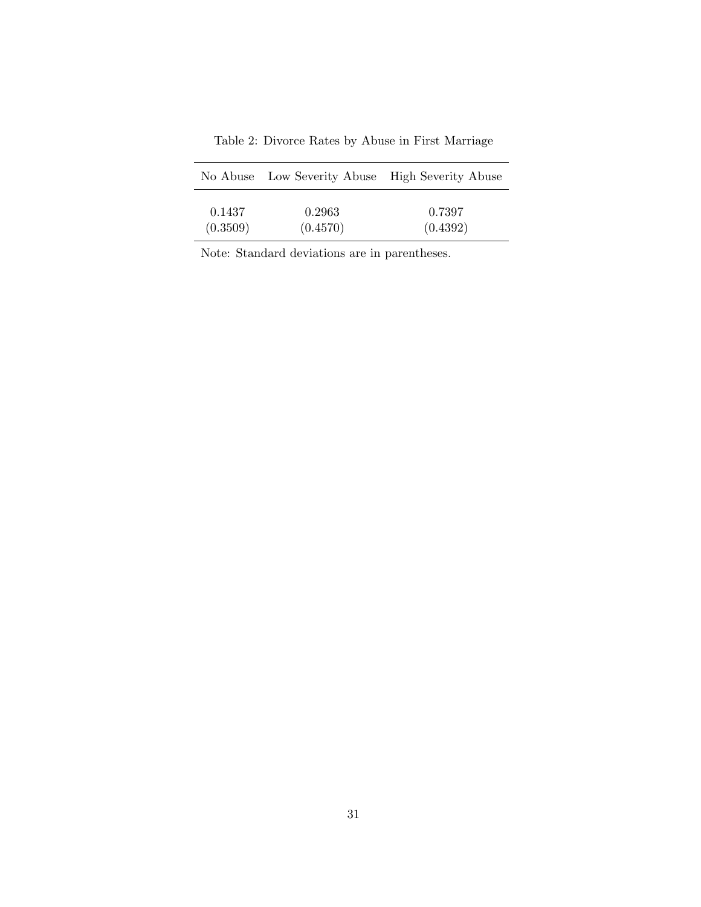|          | No Abuse Low Severity Abuse High Severity Abuse |          |
|----------|-------------------------------------------------|----------|
| 0.1437   | 0.2963                                          | 0.7397   |
| (0.3509) | (0.4570)                                        | (0.4392) |

Table 2: Divorce Rates by Abuse in First Marriage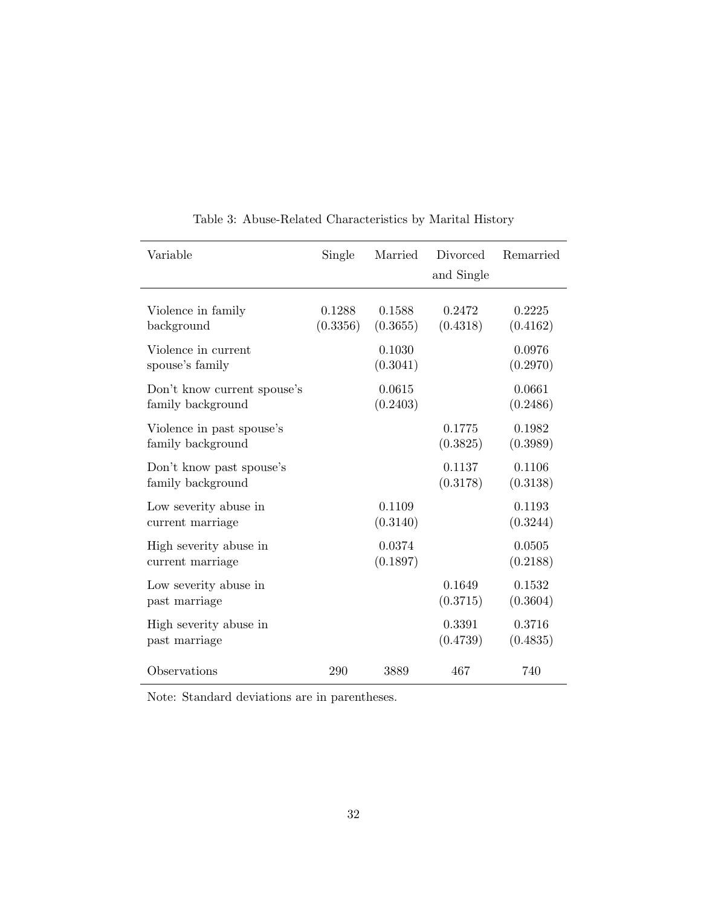| Variable                                         | Single             | Married            | Divorced<br>and Single | Remarried          |
|--------------------------------------------------|--------------------|--------------------|------------------------|--------------------|
| Violence in family<br>background                 | 0.1288<br>(0.3356) | 0.1588<br>(0.3655) | 0.2472<br>(0.4318)     | 0.2225<br>(0.4162) |
| Violence in current<br>spouse's family           |                    | 0.1030<br>(0.3041) |                        | 0.0976<br>(0.2970) |
| Don't know current spouse's<br>family background |                    | 0.0615<br>(0.2403) |                        | 0.0661<br>(0.2486) |
| Violence in past spouse's<br>family background   |                    |                    | 0.1775<br>(0.3825)     | 0.1982<br>(0.3989) |
| Don't know past spouse's<br>family background    |                    |                    | 0.1137<br>(0.3178)     | 0.1106<br>(0.3138) |
| Low severity abuse in<br>current marriage        |                    | 0.1109<br>(0.3140) |                        | 0.1193<br>(0.3244) |
| High severity abuse in<br>current marriage       |                    | 0.0374<br>(0.1897) |                        | 0.0505<br>(0.2188) |
| Low severity abuse in<br>past marriage           |                    |                    | 0.1649<br>(0.3715)     | 0.1532<br>(0.3604) |
| High severity abuse in<br>past marriage          |                    |                    | 0.3391<br>(0.4739)     | 0.3716<br>(0.4835) |
| Observations                                     | 290                | 3889               | 467                    | 740                |

Table 3: Abuse-Related Characteristics by Marital History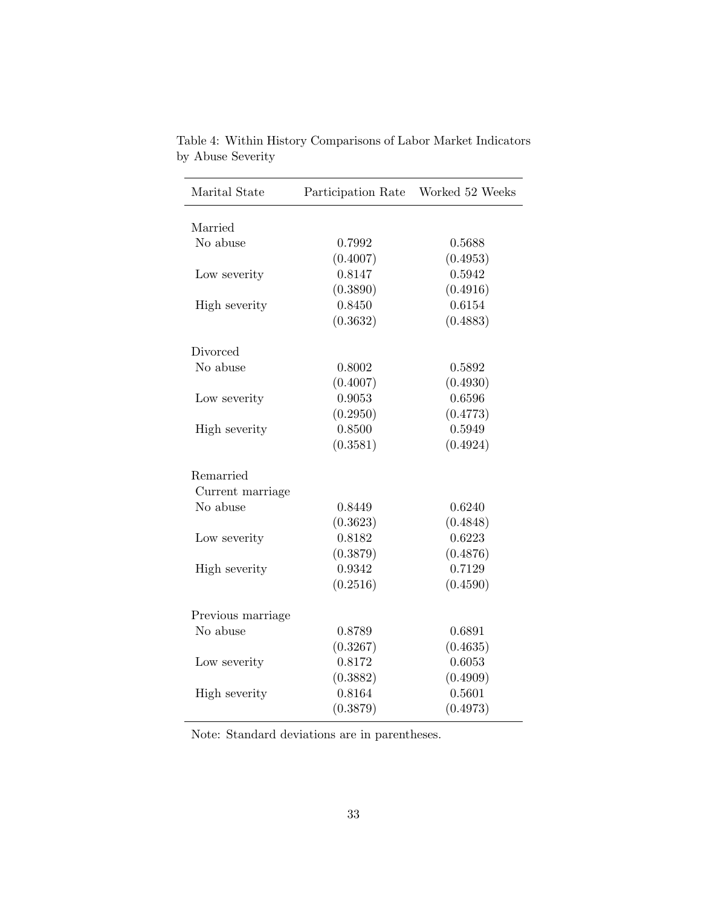| Marital State     | Participation Rate | Worked 52 Weeks |
|-------------------|--------------------|-----------------|
| Married           |                    |                 |
| No abuse          | 0.7992             | 0.5688          |
|                   | (0.4007)           | (0.4953)        |
| Low severity      | 0.8147             | 0.5942          |
|                   | (0.3890)           | (0.4916)        |
| High severity     | 0.8450             | 0.6154          |
|                   | (0.3632)           | (0.4883)        |
| Divorced          |                    |                 |
| No abuse          | 0.8002             | 0.5892          |
|                   | (0.4007)           | (0.4930)        |
| Low severity      | 0.9053             | 0.6596          |
|                   | (0.2950)           | (0.4773)        |
| High severity     | 0.8500             | 0.5949          |
|                   | (0.3581)           | (0.4924)        |
| Remarried         |                    |                 |
| Current marriage  |                    |                 |
| No abuse          | 0.8449             | 0.6240          |
|                   | (0.3623)           | (0.4848)        |
| Low severity      | 0.8182             | 0.6223          |
|                   | (0.3879)           | (0.4876)        |
| High severity     | 0.9342             | 0.7129          |
|                   | (0.2516)           | (0.4590)        |
| Previous marriage |                    |                 |
| No abuse          | 0.8789             | 0.6891          |
|                   | (0.3267)           | (0.4635)        |
| Low severity      | 0.8172             | 0.6053          |
|                   | (0.3882)           | (0.4909)        |
| High severity     | 0.8164             | 0.5601          |
|                   | (0.3879)           | (0.4973)        |

Table 4: Within History Comparisons of Labor Market Indicators by Abuse Severity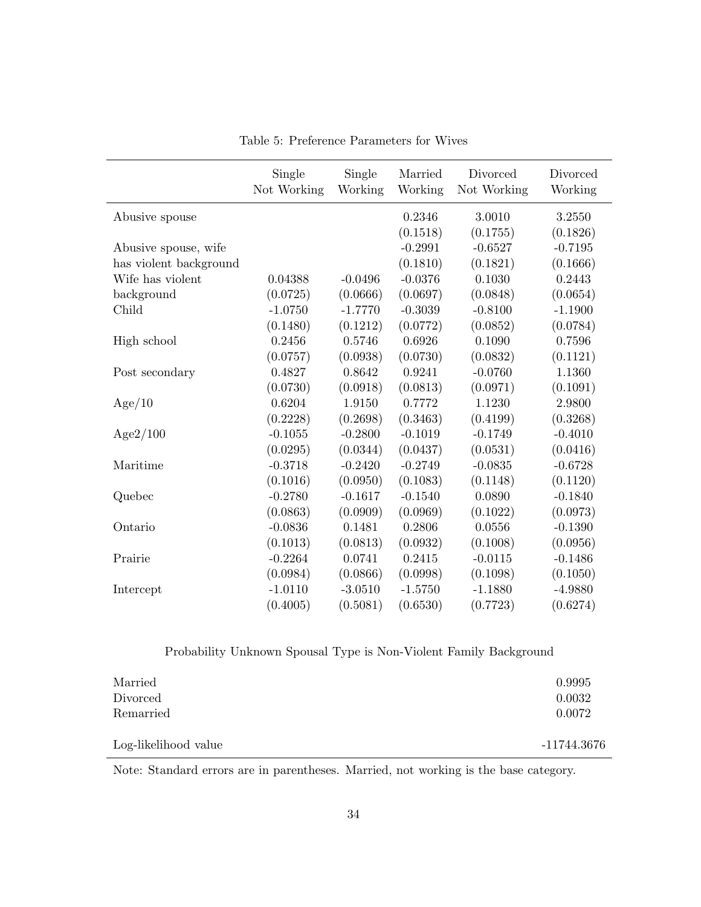|                        | Single<br>Not Working | Single<br>Working | Married<br>Working | Divorced<br>Not Working | Divorced<br>Working |
|------------------------|-----------------------|-------------------|--------------------|-------------------------|---------------------|
| Abusive spouse         |                       |                   | 0.2346             | 3.0010                  | 3.2550              |
|                        |                       |                   | (0.1518)           | (0.1755)                | (0.1826)            |
| Abusive spouse, wife   |                       |                   | $-0.2991$          | $-0.6527$               | $-0.7195$           |
| has violent background |                       |                   | (0.1810)           | (0.1821)                | (0.1666)            |
| Wife has violent       | 0.04388               | $-0.0496$         | $-0.0376$          | 0.1030                  | 0.2443              |
| background             | (0.0725)              | (0.0666)          | (0.0697)           | (0.0848)                | (0.0654)            |
| Child                  | $-1.0750$             | $-1.7770$         | $-0.3039$          | $-0.8100$               | $-1.1900$           |
|                        | (0.1480)              | (0.1212)          | (0.0772)           | (0.0852)                | (0.0784)            |
| High school            | 0.2456                | 0.5746            | 0.6926             | 0.1090                  | 0.7596              |
|                        | (0.0757)              | (0.0938)          | (0.0730)           | (0.0832)                | (0.1121)            |
| Post secondary         | 0.4827                | 0.8642            | 0.9241             | $-0.0760$               | 1.1360              |
|                        | (0.0730)              | (0.0918)          | (0.0813)           | (0.0971)                | (0.1091)            |
| Age/10                 | 0.6204                | 1.9150            | 0.7772             | 1.1230                  | 2.9800              |
|                        | (0.2228)              | (0.2698)          | (0.3463)           | (0.4199)                | (0.3268)            |
| Age2/100               | $-0.1055$             | $-0.2800$         | $-0.1019$          | $-0.1749$               | $-0.4010$           |
|                        | (0.0295)              | (0.0344)          | (0.0437)           | (0.0531)                | (0.0416)            |
| Maritime               | $-0.3718$             | $-0.2420$         | $-0.2749$          | $-0.0835$               | $-0.6728$           |
|                        | (0.1016)              | (0.0950)          | (0.1083)           | (0.1148)                | (0.1120)            |
| Quebec                 | $-0.2780$             | $-0.1617$         | $-0.1540$          | 0.0890                  | $-0.1840$           |
|                        | (0.0863)              | (0.0909)          | (0.0969)           | (0.1022)                | (0.0973)            |
| Ontario                | $-0.0836$             | 0.1481            | 0.2806             | 0.0556                  | $-0.1390$           |
|                        | (0.1013)              | (0.0813)          | (0.0932)           | (0.1008)                | (0.0956)            |
| Prairie                | $-0.2264$             | 0.0741            | 0.2415             | $-0.0115$               | $-0.1486$           |
|                        | (0.0984)              | (0.0866)          | (0.0998)           | (0.1098)                | (0.1050)            |
| Intercept              | $-1.0110$             | $-3.0510$         | $-1.5750$          | $-1.1880$               | $-4.9880$           |
|                        | (0.4005)              | (0.5081)          | (0.6530)           | (0.7723)                | (0.6274)            |

Table 5: Preference Parameters for Wives

Probability Unknown Spousal Type is Non-Violent Family Background

| Married              | 0.9995      |
|----------------------|-------------|
| Divorced             | 0.0032      |
| Remarried            | 0.0072      |
| Log-likelihood value | -11744.3676 |

Note: Standard errors are in parentheses. Married, not working is the base category.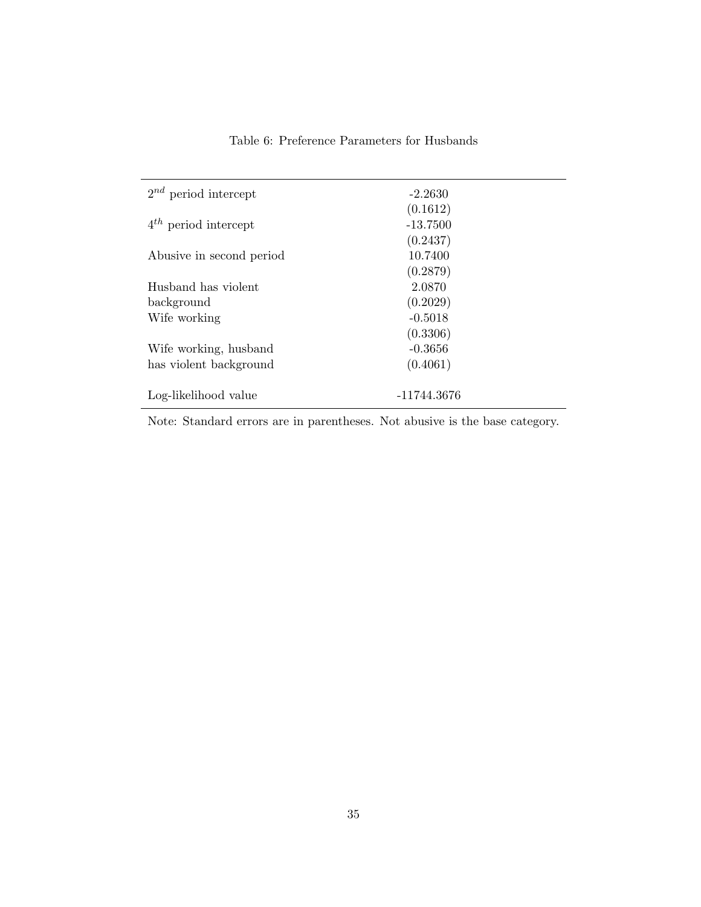| Table 6: Preference Parameters for Husbands |  |  |  |
|---------------------------------------------|--|--|--|
|---------------------------------------------|--|--|--|

| $2^{nd}$ period intercept | $-2.2630$   |  |
|---------------------------|-------------|--|
|                           | (0.1612)    |  |
| $4^{th}$ period intercept | $-13.7500$  |  |
|                           | (0.2437)    |  |
| Abusive in second period  | 10.7400     |  |
|                           | (0.2879)    |  |
| Husband has violent       | 2.0870      |  |
| background                | (0.2029)    |  |
| Wife working              | $-0.5018$   |  |
|                           | (0.3306)    |  |
| Wife working, husband     | $-0.3656$   |  |
| has violent background    | (0.4061)    |  |
|                           |             |  |
| Log-likelihood value      | -11744.3676 |  |
|                           |             |  |

Note: Standard errors are in parentheses. Not abusive is the base category.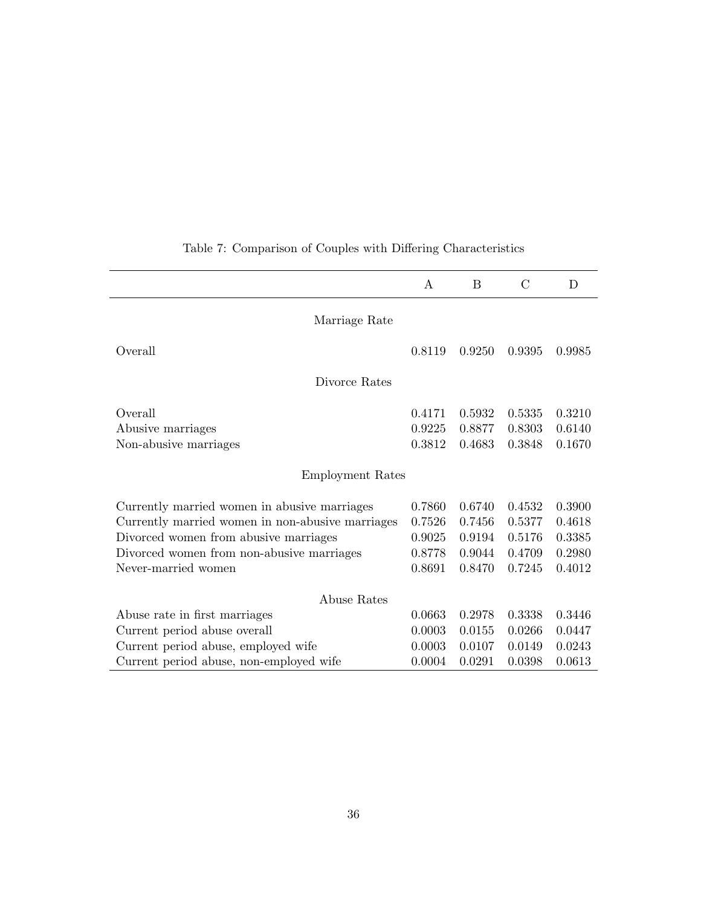|                                                                                                                                                                                                               | A                                              | B                                              | C                                              | D                                              |
|---------------------------------------------------------------------------------------------------------------------------------------------------------------------------------------------------------------|------------------------------------------------|------------------------------------------------|------------------------------------------------|------------------------------------------------|
| Marriage Rate                                                                                                                                                                                                 |                                                |                                                |                                                |                                                |
| Overall                                                                                                                                                                                                       | 0.8119                                         | 0.9250                                         | 0.9395                                         | 0.9985                                         |
| Divorce Rates                                                                                                                                                                                                 |                                                |                                                |                                                |                                                |
| Overall<br>Abusive marriages<br>Non-abusive marriages                                                                                                                                                         | 0.4171<br>0.9225<br>0.3812                     | 0.5932<br>0.8877<br>0.4683                     | 0.5335<br>0.8303<br>0.3848                     | 0.3210<br>0.6140<br>0.1670                     |
| Employment Rates                                                                                                                                                                                              |                                                |                                                |                                                |                                                |
| Currently married women in abusive marriages<br>Currently married women in non-abusive marriages<br>Divorced women from abusive marriages<br>Divorced women from non-abusive marriages<br>Never-married women | 0.7860<br>0.7526<br>0.9025<br>0.8778<br>0.8691 | 0.6740<br>0.7456<br>0.9194<br>0.9044<br>0.8470 | 0.4532<br>0.5377<br>0.5176<br>0.4709<br>0.7245 | 0.3900<br>0.4618<br>0.3385<br>0.2980<br>0.4012 |
| Abuse Rates                                                                                                                                                                                                   |                                                |                                                |                                                |                                                |
| Abuse rate in first marriages<br>Current period abuse overall<br>Current period abuse, employed wife<br>Current period abuse, non-employed wife                                                               | 0.0663<br>0.0003<br>0.0003<br>0.0004           | 0.2978<br>0.0155<br>0.0107<br>0.0291           | 0.3338<br>0.0266<br>0.0149<br>0.0398           | 0.3446<br>0.0447<br>0.0243<br>0.0613           |

# Table 7: Comparison of Couples with Differing Characteristics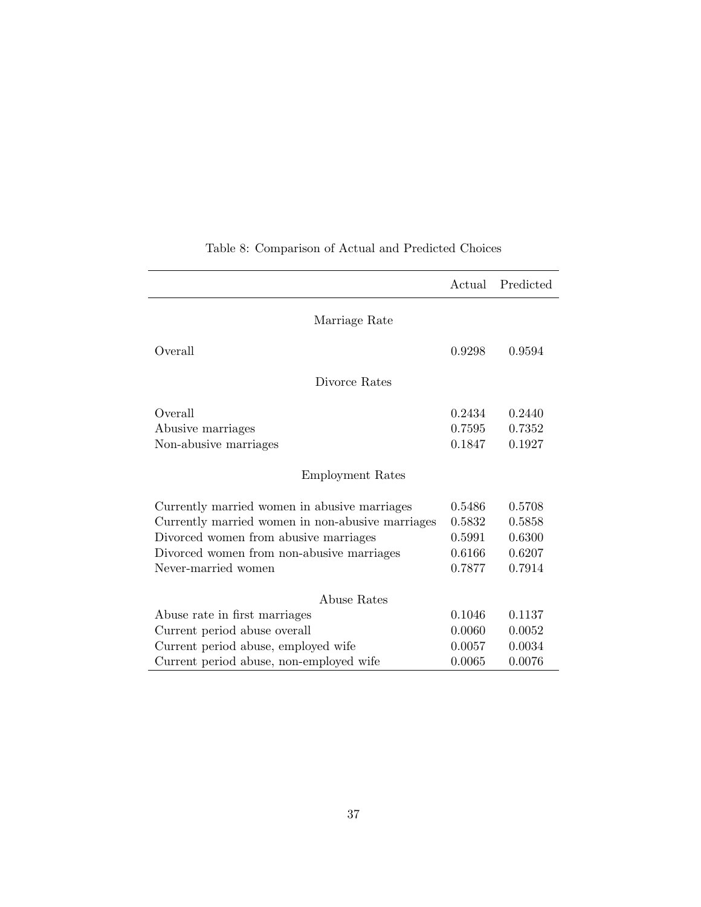|                                                  | Actual | Predicted |
|--------------------------------------------------|--------|-----------|
| Marriage Rate                                    |        |           |
| Overall                                          | 0.9298 | 0.9594    |
|                                                  |        |           |
| Divorce Rates                                    |        |           |
| Overall                                          | 0.2434 | 0.2440    |
| Abusive marriages                                | 0.7595 | 0.7352    |
| Non-abusive marriages                            | 0.1847 | 0.1927    |
| Employment Rates                                 |        |           |
| Currently married women in abusive marriages     | 0.5486 | 0.5708    |
| Currently married women in non-abusive marriages | 0.5832 | 0.5858    |
| Divorced women from abusive marriages            | 0.5991 | 0.6300    |
| Divorced women from non-abusive marriages        | 0.6166 | 0.6207    |
| Never-married women                              | 0.7877 | 0.7914    |
| Abuse Rates                                      |        |           |
| Abuse rate in first marriages                    | 0.1046 | 0.1137    |
| Current period abuse overall                     | 0.0060 | 0.0052    |
| Current period abuse, employed wife              | 0.0057 | 0.0034    |
| Current period abuse, non-employed wife          | 0.0065 | 0.0076    |

# Table 8: Comparison of Actual and Predicted Choices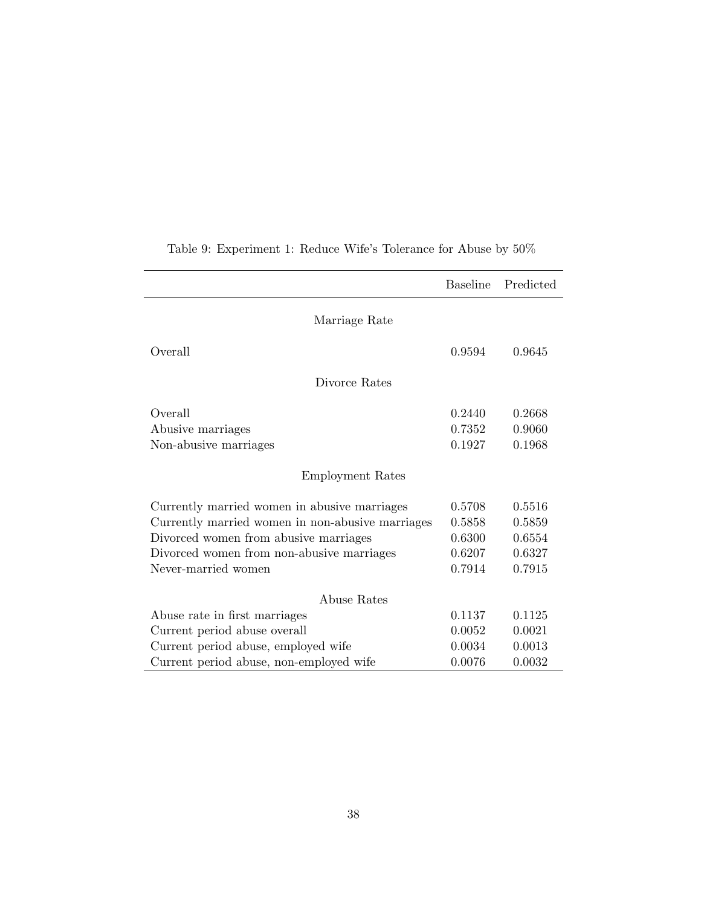|                                                  | <b>Baseline</b> | Predicted |
|--------------------------------------------------|-----------------|-----------|
| Marriage Rate                                    |                 |           |
| Overall                                          | 0.9594          | 0.9645    |
| Divorce Rates                                    |                 |           |
| Overall                                          | 0.2440          | 0.2668    |
| Abusive marriages                                | 0.7352          | 0.9060    |
| Non-abusive marriages                            | 0.1927          | 0.1968    |
| <b>Employment Rates</b>                          |                 |           |
| Currently married women in abusive marriages     | 0.5708          | 0.5516    |
| Currently married women in non-abusive marriages | 0.5858          | 0.5859    |
| Divorced women from abusive marriages            | 0.6300          | 0.6554    |
| Divorced women from non-abusive marriages        | 0.6207          | 0.6327    |
| Never-married women                              | 0.7914          | 0.7915    |
| Abuse Rates                                      |                 |           |
| Abuse rate in first marriages                    | 0.1137          | 0.1125    |
| Current period abuse overall                     | 0.0052          | 0.0021    |
| Current period abuse, employed wife              | 0.0034          | 0.0013    |
| Current period abuse, non-employed wife          | 0.0076          | 0.0032    |

Table 9: Experiment 1: Reduce Wife's Tolerance for Abuse by  $50\%$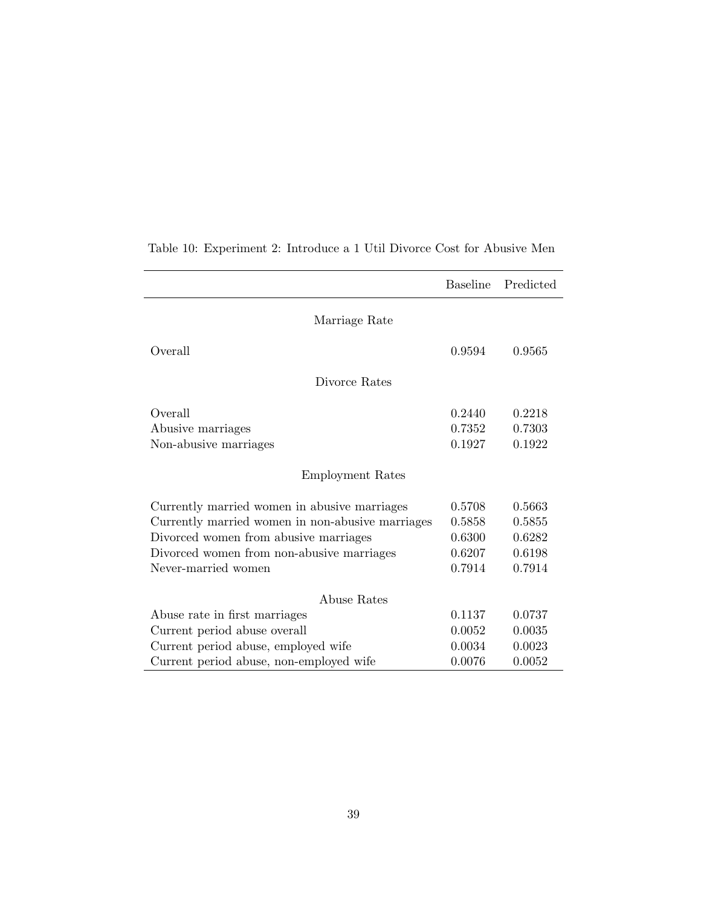|                                                  | Baseline | Predicted |
|--------------------------------------------------|----------|-----------|
| Marriage Rate                                    |          |           |
| Overall                                          | 0.9594   | 0.9565    |
| Divorce Rates                                    |          |           |
| Overall                                          | 0.2440   | 0.2218    |
| Abusive marriages                                | 0.7352   | 0.7303    |
| Non-abusive marriages                            | 0.1927   | 0.1922    |
| Employment Rates                                 |          |           |
| Currently married women in abusive marriages     | 0.5708   | 0.5663    |
| Currently married women in non-abusive marriages | 0.5858   | 0.5855    |
| Divorced women from abusive marriages            | 0.6300   | 0.6282    |
| Divorced women from non-abusive marriages        | 0.6207   | 0.6198    |
| Never-married women                              | 0.7914   | 0.7914    |
| Abuse Rates                                      |          |           |
| Abuse rate in first marriages                    | 0.1137   | 0.0737    |
| Current period abuse overall                     | 0.0052   | 0.0035    |
| Current period abuse, employed wife              | 0.0034   | 0.0023    |
| Current period abuse, non-employed wife          | 0.0076   | 0.0052    |

Table 10: Experiment 2: Introduce a 1 Util Divorce Cost for Abusive Men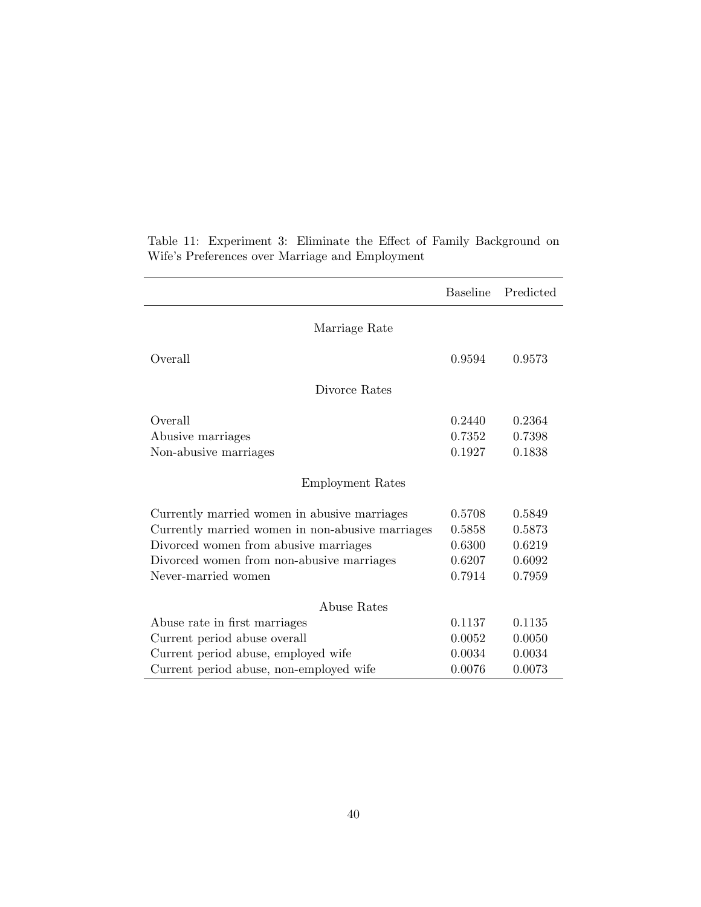|                                                  | <b>Baseline</b> | Predicted |  |
|--------------------------------------------------|-----------------|-----------|--|
| Marriage Rate                                    |                 |           |  |
| Overall                                          | 0.9594          | 0.9573    |  |
| Divorce Rates                                    |                 |           |  |
| Overall                                          | 0.2440          | 0.2364    |  |
| Abusive marriages                                | 0.7352          | 0.7398    |  |
| Non-abusive marriages                            | 0.1927          | 0.1838    |  |
| <b>Employment Rates</b>                          |                 |           |  |
| Currently married women in abusive marriages     | 0.5708          | 0.5849    |  |
| Currently married women in non-abusive marriages | 0.5858          | 0.5873    |  |
| Divorced women from abusive marriages            | 0.6300          | 0.6219    |  |
| Divorced women from non-abusive marriages        | 0.6207          | 0.6092    |  |
| Never-married women                              | 0.7914          | 0.7959    |  |
| Abuse Rates                                      |                 |           |  |
| Abuse rate in first marriages                    | 0.1137          | 0.1135    |  |
| Current period abuse overall                     | 0.0052          | 0.0050    |  |
| Current period abuse, employed wife              | 0.0034          | 0.0034    |  |
| Current period abuse, non-employed wife          | 0.0076          | 0.0073    |  |

Table 11: Experiment 3: Eliminate the Effect of Family Background on Wife's Preferences over Marriage and Employment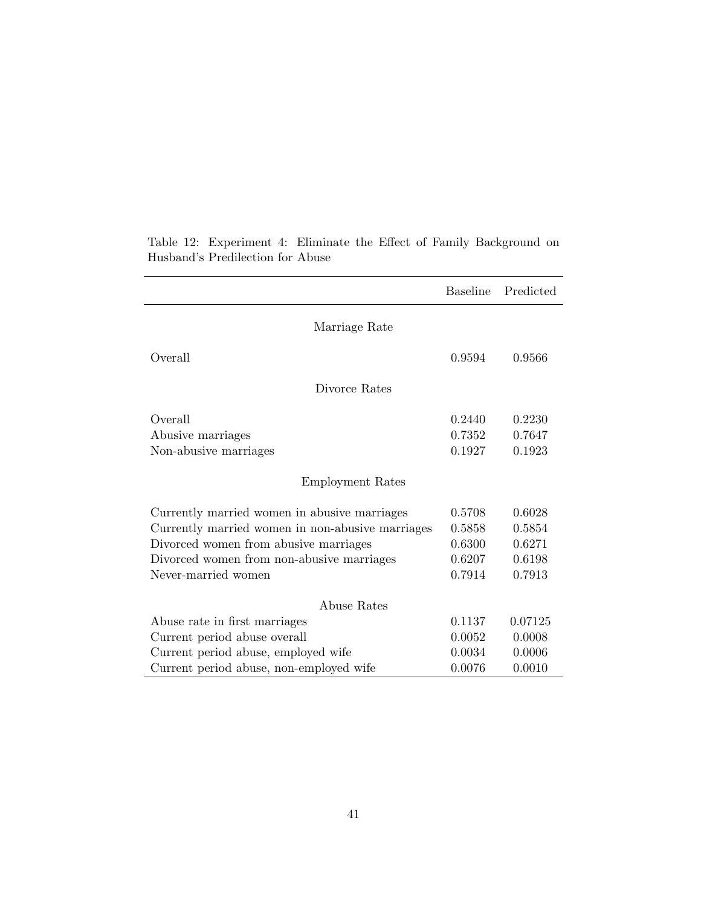|                                                  | <b>Baseline</b> | Predicted |
|--------------------------------------------------|-----------------|-----------|
| Marriage Rate                                    |                 |           |
| Overall                                          | 0.9594          | 0.9566    |
| Divorce Rates                                    |                 |           |
| Overall                                          | 0.2440          | 0.2230    |
| Abusive marriages                                | 0.7352          | 0.7647    |
| Non-abusive marriages                            | 0.1927          | 0.1923    |
| <b>Employment Rates</b>                          |                 |           |
| Currently married women in abusive marriages     | 0.5708          | 0.6028    |
| Currently married women in non-abusive marriages | 0.5858          | 0.5854    |
| Divorced women from abusive marriages            | 0.6300          | 0.6271    |
| Divorced women from non-abusive marriages        | 0.6207          | 0.6198    |
| Never-married women                              | 0.7914          | 0.7913    |
| Abuse Rates                                      |                 |           |
| Abuse rate in first marriages                    | 0.1137          | 0.07125   |
| Current period abuse overall                     | 0.0052          | 0.0008    |
| Current period abuse, employed wife              | 0.0034          | 0.0006    |
| Current period abuse, non-employed wife          | 0.0076          | 0.0010    |

Table 12: Experiment 4: Eliminate the Effect of Family Background on Husband's Predilection for Abuse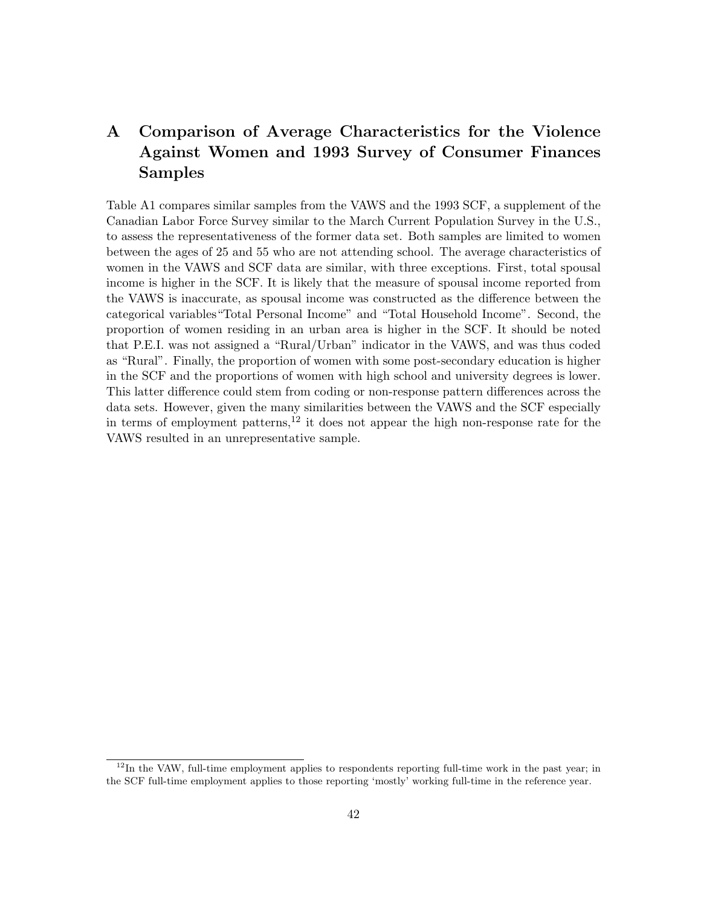# A Comparison of Average Characteristics for the Violence Against Women and 1993 Survey of Consumer Finances Samples

Table A1 compares similar samples from the VAWS and the 1993 SCF, a supplement of the Canadian Labor Force Survey similar to the March Current Population Survey in the U.S., to assess the representativeness of the former data set. Both samples are limited to women between the ages of 25 and 55 who are not attending school. The average characteristics of women in the VAWS and SCF data are similar, with three exceptions. First, total spousal income is higher in the SCF. It is likely that the measure of spousal income reported from the VAWS is inaccurate, as spousal income was constructed as the difference between the categorical variables"Total Personal Income" and "Total Household Income". Second, the proportion of women residing in an urban area is higher in the SCF. It should be noted that P.E.I. was not assigned a "Rural/Urban" indicator in the VAWS, and was thus coded as "Rural". Finally, the proportion of women with some post-secondary education is higher in the SCF and the proportions of women with high school and university degrees is lower. This latter difference could stem from coding or non-response pattern differences across the data sets. However, given the many similarities between the VAWS and the SCF especially in terms of employment patterns,<sup>12</sup> it does not appear the high non-response rate for the VAWS resulted in an unrepresentative sample.

<sup>&</sup>lt;sup>12</sup>In the VAW, full-time employment applies to respondents reporting full-time work in the past year; in the SCF full-time employment applies to those reporting 'mostly' working full-time in the reference year.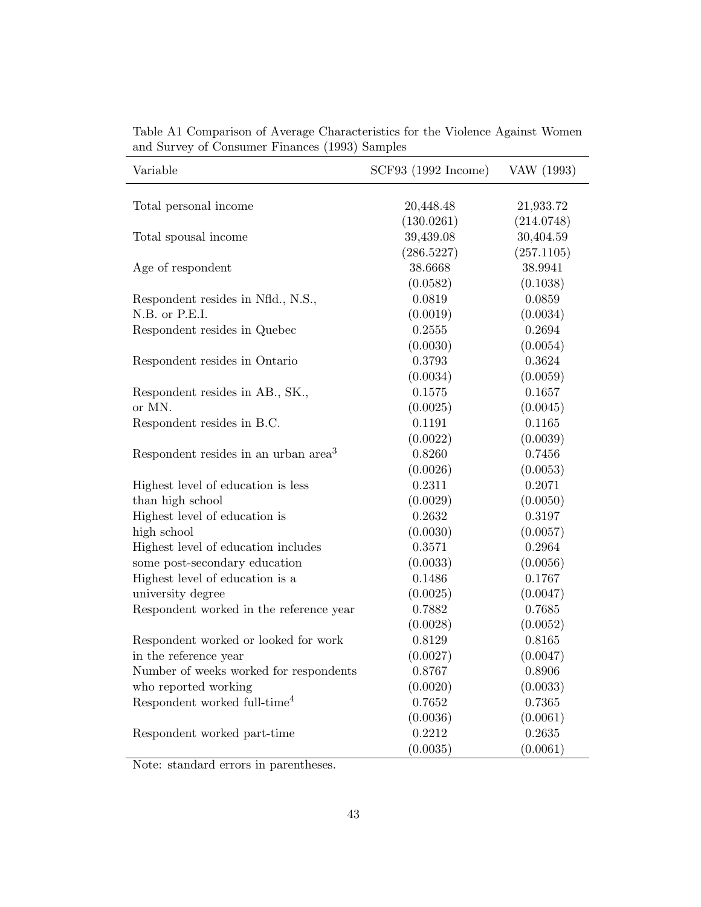| Variable                                         | SCF93 (1992 Income) | VAW (1993) |
|--------------------------------------------------|---------------------|------------|
| Total personal income                            | 20,448.48           | 21,933.72  |
|                                                  | (130.0261)          | (214.0748) |
| Total spousal income                             | 39,439.08           | 30,404.59  |
|                                                  | (286.5227)          | (257.1105) |
| Age of respondent                                | 38.6668             | 38.9941    |
|                                                  | (0.0582)            | (0.1038)   |
| Respondent resides in Nfld., N.S.,               | 0.0819              | 0.0859     |
| N.B. or P.E.I.                                   | (0.0019)            | (0.0034)   |
| Respondent resides in Quebec                     | 0.2555              | 0.2694     |
|                                                  | (0.0030)            | (0.0054)   |
| Respondent resides in Ontario                    | 0.3793              | 0.3624     |
|                                                  | (0.0034)            | (0.0059)   |
| Respondent resides in AB., SK.,                  | 0.1575              | 0.1657     |
| or MN.                                           | (0.0025)            | (0.0045)   |
| Respondent resides in B.C.                       | 0.1191              | 0.1165     |
|                                                  | (0.0022)            | (0.0039)   |
| Respondent resides in an urban area <sup>3</sup> | 0.8260              | 0.7456     |
|                                                  | (0.0026)            | (0.0053)   |
| Highest level of education is less               | 0.2311              | 0.2071     |
| than high school                                 | (0.0029)            | (0.0050)   |
| Highest level of education is                    | 0.2632              | 0.3197     |
| high school                                      | (0.0030)            | (0.0057)   |
| Highest level of education includes              | 0.3571              | 0.2964     |
| some post-secondary education                    | (0.0033)            | (0.0056)   |
| Highest level of education is a                  | 0.1486              | 0.1767     |
| university degree                                | (0.0025)            | (0.0047)   |
| Respondent worked in the reference year          | 0.7882              | 0.7685     |
|                                                  | (0.0028)            | (0.0052)   |
| Respondent worked or looked for work             | 0.8129              | 0.8165     |
| in the reference year                            | (0.0027)            | (0.0047)   |
| Number of weeks worked for respondents           | 0.8767              | 0.8906     |
| who reported working                             | (0.0020)            | (0.0033)   |
| Respondent worked full-time <sup>4</sup>         | 0.7652              | 0.7365     |
|                                                  | (0.0036)            | (0.0061)   |
| Respondent worked part-time                      | 0.2212              | 0.2635     |
|                                                  | (0.0035)            | (0.0061)   |

Table A1 Comparison of Average Characteristics for the Violence Against Women and Survey of Consumer Finances (1993) Samples

Note: standard errors in parentheses.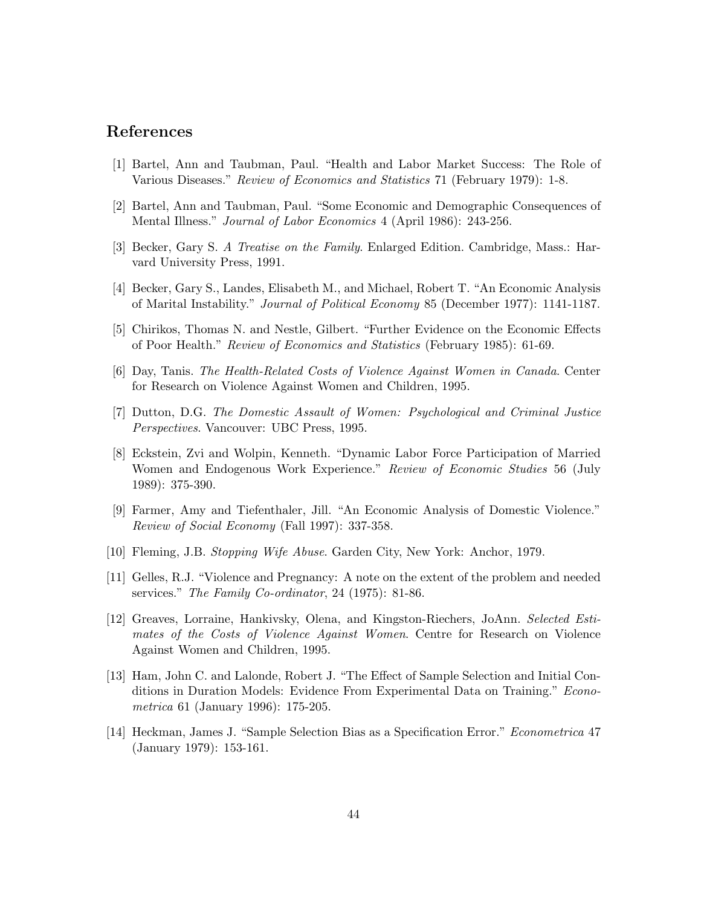## References

- [1] Bartel, Ann and Taubman, Paul. "Health and Labor Market Success: The Role of Various Diseases." Review of Economics and Statistics 71 (February 1979): 1-8.
- [2] Bartel, Ann and Taubman, Paul. "Some Economic and Demographic Consequences of Mental Illness." Journal of Labor Economics 4 (April 1986): 243-256.
- [3] Becker, Gary S. A Treatise on the Family. Enlarged Edition. Cambridge, Mass.: Harvard University Press, 1991.
- [4] Becker, Gary S., Landes, Elisabeth M., and Michael, Robert T. "An Economic Analysis of Marital Instability." Journal of Political Economy 85 (December 1977): 1141-1187.
- [5] Chirikos, Thomas N. and Nestle, Gilbert. "Further Evidence on the Economic Effects of Poor Health." Review of Economics and Statistics (February 1985): 61-69.
- [6] Day, Tanis. The Health-Related Costs of Violence Against Women in Canada. Center for Research on Violence Against Women and Children, 1995.
- [7] Dutton, D.G. The Domestic Assault of Women: Psychological and Criminal Justice Perspectives. Vancouver: UBC Press, 1995.
- [8] Eckstein, Zvi and Wolpin, Kenneth. "Dynamic Labor Force Participation of Married Women and Endogenous Work Experience." Review of Economic Studies 56 (July 1989): 375-390.
- [9] Farmer, Amy and Tiefenthaler, Jill. "An Economic Analysis of Domestic Violence." Review of Social Economy (Fall 1997): 337-358.
- [10] Fleming, J.B. Stopping Wife Abuse. Garden City, New York: Anchor, 1979.
- [11] Gelles, R.J. "Violence and Pregnancy: A note on the extent of the problem and needed services." The Family Co-ordinator, 24 (1975): 81-86.
- [12] Greaves, Lorraine, Hankivsky, Olena, and Kingston-Riechers, JoAnn. Selected Estimates of the Costs of Violence Against Women. Centre for Research on Violence Against Women and Children, 1995.
- [13] Ham, John C. and Lalonde, Robert J. "The Effect of Sample Selection and Initial Conditions in Duration Models: Evidence From Experimental Data on Training." Econometrica 61 (January 1996): 175-205.
- [14] Heckman, James J. "Sample Selection Bias as a Specification Error." Econometrica 47 (January 1979): 153-161.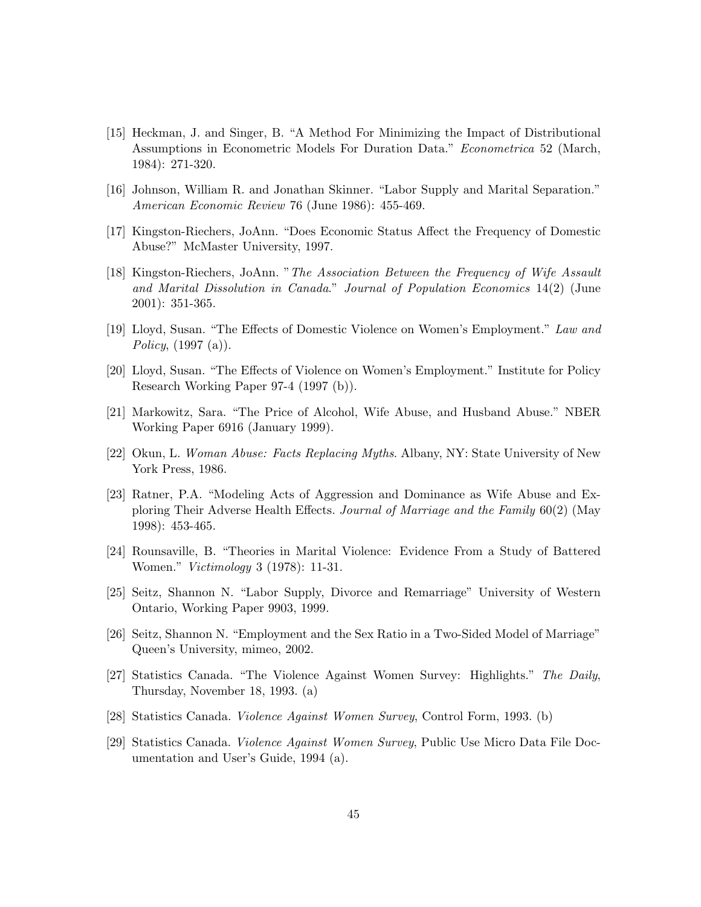- [15] Heckman, J. and Singer, B. "A Method For Minimizing the Impact of Distributional Assumptions in Econometric Models For Duration Data." Econometrica 52 (March, 1984): 271-320.
- [16] Johnson, William R. and Jonathan Skinner. "Labor Supply and Marital Separation." American Economic Review 76 (June 1986): 455-469.
- [17] Kingston-Riechers, JoAnn. "Does Economic Status Affect the Frequency of Domestic Abuse?" McMaster University, 1997.
- [18] Kingston-Riechers, JoAnn. "The Association Between the Frequency of Wife Assault and Marital Dissolution in Canada." Journal of Population Economics 14(2) (June 2001): 351-365.
- [19] Lloyd, Susan. "The Effects of Domestic Violence on Women's Employment." Law and *Policy*,  $(1997 \text{ (a)}).$
- [20] Lloyd, Susan. "The Effects of Violence on Women's Employment." Institute for Policy Research Working Paper 97-4 (1997 (b)).
- [21] Markowitz, Sara. "The Price of Alcohol, Wife Abuse, and Husband Abuse." NBER Working Paper 6916 (January 1999).
- [22] Okun, L. Woman Abuse: Facts Replacing Myths. Albany, NY: State University of New York Press, 1986.
- [23] Ratner, P.A. "Modeling Acts of Aggression and Dominance as Wife Abuse and Exploring Their Adverse Health Effects. Journal of Marriage and the Family 60(2) (May 1998): 453-465.
- [24] Rounsaville, B. "Theories in Marital Violence: Evidence From a Study of Battered Women." Victimology 3 (1978): 11-31.
- [25] Seitz, Shannon N. "Labor Supply, Divorce and Remarriage" University of Western Ontario, Working Paper 9903, 1999.
- [26] Seitz, Shannon N. "Employment and the Sex Ratio in a Two-Sided Model of Marriage" Queen's University, mimeo, 2002.
- [27] Statistics Canada. "The Violence Against Women Survey: Highlights." The Daily, Thursday, November 18, 1993. (a)
- [28] Statistics Canada. Violence Against Women Survey, Control Form, 1993. (b)
- [29] Statistics Canada. Violence Against Women Survey, Public Use Micro Data File Documentation and User's Guide, 1994 (a).